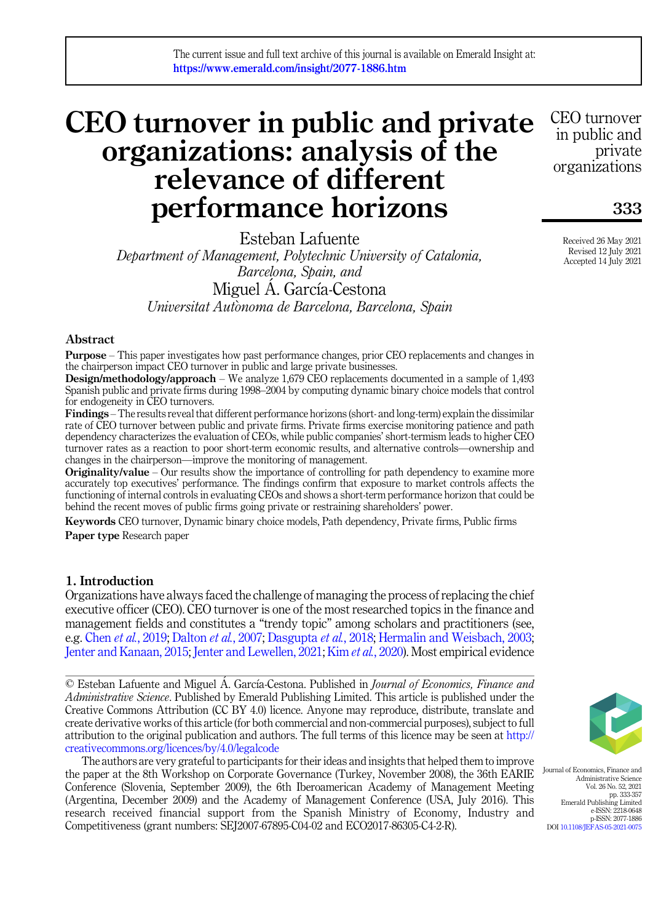# CEO turnover in public and private organizations: analysis of the relevance of different performance horizons

Esteban Lafuente Department of Management, Polytechnic University of Catalonia, Barcelona, Spain, and Miguel Á. García-Cestona Universitat Autonoma de Barcelona, Barcelona, Spain

## Abstract

Purpose – This paper investigates how past performance changes, prior CEO replacements and changes in the chairperson impact CEO turnover in public and large private businesses.

Design/methodology/approach – We analyze 1,679 CEO replacements documented in a sample of 1,493 Spanish public and private firms during 1998–2004 by computing dynamic binary choice models that control for endogeneity in CEO turnovers.

Findings – The results reveal that different performance horizons (short- and long-term) explain the dissimilar rate of CEO turnover between public and private firms. Private firms exercise monitoring patience and path dependency characterizes the evaluation of CEOs, while public companies' short-termism leads to higher CEO turnover rates as a reaction to poor short-term economic results, and alternative controls—ownership and changes in the chairperson—improve the monitoring of management.

Originality/value – Our results show the importance of controlling for path dependency to examine more accurately top executives' performance. The findings confirm that exposure to market controls affects the functioning of internal controls in evaluating CEOs and shows a short-term performance horizon that could be behind the recent moves of public firms going private or restraining shareholders' power.

Keywords CEO turnover, Dynamic binary choice models, Path dependency, Private firms, Public firms Paper type Research paper

## 1. Introduction

Organizations have always faced the challenge of managing the process of replacing the chief executive officer (CEO). CEO turnover is one of the most researched topics in the finance and management fields and constitutes a "trendy topic" among scholars and practitioners (see, e.g. Chen et al.[, 2019](#page-21-0); [Dalton](#page-21-1) et al., 2007; [Dasgupta](#page-21-2) et al., 2018; [Hermalin and Weisbach, 2003](#page-22-0); [Jenter and Kanaan, 2015](#page-22-1); [Jenter and Lewellen, 2021;](#page-22-2) Kim et al.[, 2020](#page-22-3)). Most empirical evidence

© Esteban Lafuente and Miguel A. García-Cestona. Published in *Journal of Economics*, *Finance and* Administrative Science. Published by Emerald Publishing Limited. This article is published under the Creative Commons Attribution (CC BY 4.0) licence. Anyone may reproduce, distribute, translate and create derivative works of this article (for both commercial and non-commercial purposes), subject to full attribution to the original publication and authors. The full terms of this licence may be seen at [http://](http://creativecommons.org/licences/by/4.0/legalcode) [creativecommons.org/licences/by/4.0/legalcode](http://creativecommons.org/licences/by/4.0/legalcode)

The authors are very grateful to participants for their ideas and insights that helped them to improve the paper at the 8th Workshop on Corporate Governance (Turkey, November 2008), the 36th EARIE Conference (Slovenia, September 2009), the 6th Iberoamerican Academy of Management Meeting (Argentina, December 2009) and the Academy of Management Conference (USA, July 2016). This research received financial support from the Spanish Ministry of Economy, Industry and Competitiveness (grant numbers: SEJ2007-67895-C04-02 and ECO2017-86305-C4-2-R).

Journal of Economics, Finance and Administrative Science Vol. 26 No. 52, 2021 pp. 333-357 Emerald Publishing Limited e-ISSN: 2218-0648 p-ISSN: 2077-1886 DOI [10.1108/JEFAS-05-2021-0075](https://doi.org/10.1108/JEFAS-05-2021-0075)

Received 26 May 2021 Revised 12 July 2021 Accepted 14 July 2021

333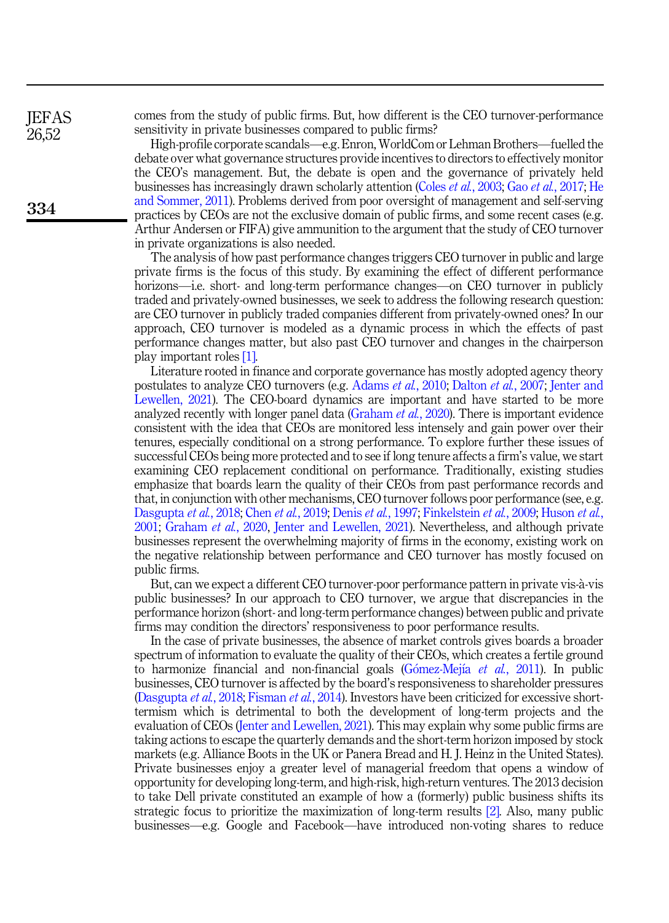comes from the study of public firms. But, how different is the CEO turnover-performance sensitivity in private businesses compared to public firms?

High-profile corporate scandals—e.g. Enron, WorldCom or Lehman Brothers—fuelled the debate over what governance structures provide incentives to directors to effectively monitor the CEO's management. But, the debate is open and the governance of privately held businesses has increasingly drawn scholarly attention (Coles et al.[, 2003](#page-21-3); Gao et al.[, 2017;](#page-21-4) [He](#page-21-5) [and Sommer, 2011](#page-21-5)). Problems derived from poor oversight of management and self-serving practices by CEOs are not the exclusive domain of public firms, and some recent cases (e.g. Arthur Andersen or FIFA) give ammunition to the argument that the study of CEO turnover in private organizations is also needed.

The analysis of how past performance changes triggers CEO turnover in public and large private firms is the focus of this study. By examining the effect of different performance horizons—i.e. short- and long-term performance changes—on CEO turnover in publicly traded and privately-owned businesses, we seek to address the following research question: are CEO turnover in publicly traded companies different from privately-owned ones? In our approach, CEO turnover is modeled as a dynamic process in which the effects of past performance changes matter, but also past CEO turnover and changes in the chairperson play important roles [\[1\]](#page-20-0).

Literature rooted in finance and corporate governance has mostly adopted agency theory postulates to analyze CEO turnovers (e.g. [Adams](#page-20-1) et al., 2010; [Dalton](#page-21-1) et al., 2007; [Jenter and](#page-22-2) [Lewellen, 2021\)](#page-22-2). The CEO-board dynamics are important and have started to be more analyzed recently with longer panel data ([Graham](#page-21-6) et al., 2020). There is important evidence consistent with the idea that CEOs are monitored less intensely and gain power over their tenures, especially conditional on a strong performance. To explore further these issues of successful CEOs being more protected and to see if long tenure affects a firm's value, we start examining CEO replacement conditional on performance. Traditionally, existing studies emphasize that boards learn the quality of their CEOs from past performance records and that, in conjunction with other mechanisms, CEO turnover follows poor performance (see, e.g. [Dasgupta](#page-21-2) et al., 2018; Chen et al.[, 2019](#page-21-0); Denis et al.[, 1997](#page-21-7); [Finkelstein](#page-21-8) et al., 2009; [Huson](#page-22-4) et al., [2001;](#page-22-4) [Graham](#page-21-6) et al., 2020, [Jenter and Lewellen, 2021](#page-22-2)). Nevertheless, and although private businesses represent the overwhelming majority of firms in the economy, existing work on the negative relationship between performance and CEO turnover has mostly focused on public firms.

But, can we expect a different CEO turnover-poor performance pattern in private vis-a-vis public businesses? In our approach to CEO turnover, we argue that discrepancies in the performance horizon (short- and long-term performance changes) between public and private firms may condition the directors' responsiveness to poor performance results.

In the case of private businesses, the absence of market controls gives boards a broader spectrum of information to evaluate the quality of their CEOs, which creates a fertile ground to harmonize financial and non-financial goals  $(Gómez-Mejía et al., 2011)$  $(Gómez-Mejía et al., 2011)$  $(Gómez-Mejía et al., 2011)$  $(Gómez-Mejía et al., 2011)$ . In public businesses, CEO turnover is affected by the board's responsiveness to shareholder pressures ([Dasgupta](#page-21-2) et al., 2018; [Fisman](#page-21-10) et al., 2014). Investors have been criticized for excessive shorttermism which is detrimental to both the development of long-term projects and the evaluation of CEOs [\(Jenter and Lewellen, 2021\)](#page-22-2). This may explain why some public firms are taking actions to escape the quarterly demands and the short-term horizon imposed by stock markets (e.g. Alliance Boots in the UK or Panera Bread and H. J. Heinz in the United States). Private businesses enjoy a greater level of managerial freedom that opens a window of opportunity for developing long-term, and high-risk, high-return ventures. The 2013 decision to take Dell private constituted an example of how a (formerly) public business shifts its strategic focus to prioritize the maximization of long-term results [\[2\]](#page-20-2). Also, many public businesses—e.g. Google and Facebook—have introduced non-voting shares to reduce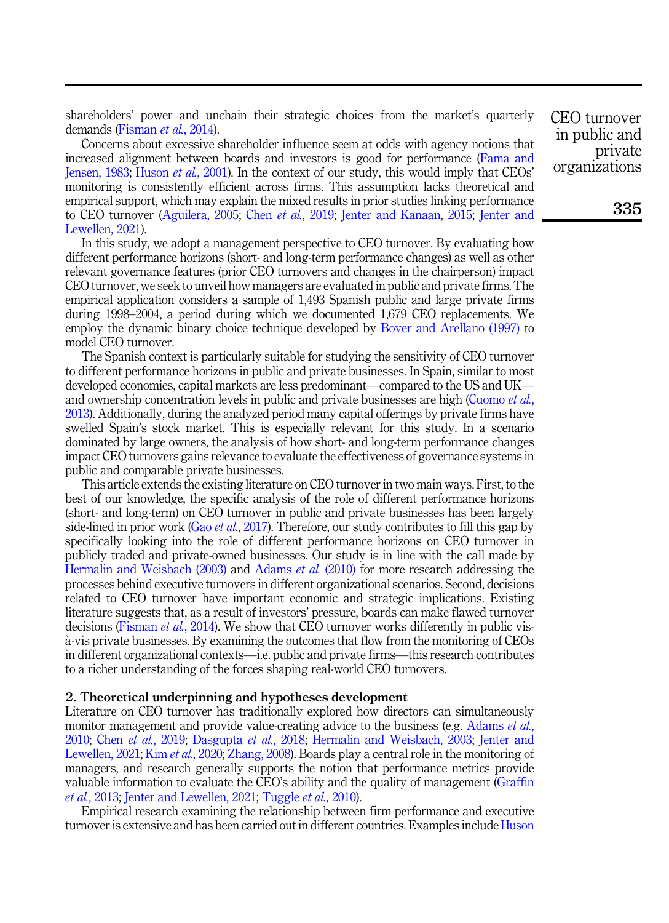shareholders' power and unchain their strategic choices from the market's quarterly demands [\(Fisman](#page-21-10) et al., 2014).

Concerns about excessive shareholder influence seem at odds with agency notions that increased alignment between boards and investors is good for performance [\(Fama and](#page-21-11) [Jensen, 1983](#page-21-11); [Huson](#page-22-4) et al., 2001). In the context of our study, this would imply that CEOs' monitoring is consistently efficient across firms. This assumption lacks theoretical and empirical support, which may explain the mixed results in prior studies linking performance to CEO turnover ([Aguilera, 2005](#page-20-3); Chen *et al.*[, 2019](#page-21-0); [Jenter and Kanaan, 2015](#page-22-1); [Jenter and](#page-22-2) [Lewellen, 2021\)](#page-22-2).

In this study, we adopt a management perspective to CEO turnover. By evaluating how different performance horizons (short- and long-term performance changes) as well as other relevant governance features (prior CEO turnovers and changes in the chairperson) impact CEO turnover, we seek to unveil how managers are evaluated in public and private firms. The empirical application considers a sample of 1,493 Spanish public and large private firms during 1998–2004, a period during which we documented 1,679 CEO replacements. We employ the dynamic binary choice technique developed by [Bover and Arellano \(1997\)](#page-20-4) to model CEO turnover.

The Spanish context is particularly suitable for studying the sensitivity of CEO turnover to different performance horizons in public and private businesses. In Spain, similar to most developed economies, capital markets are less predominant—compared to the US and UK— and ownership concentration levels in public and private businesses are high ([Cuomo](#page-21-12) *et al.*, [2013\)](#page-21-12). Additionally, during the analyzed period many capital offerings by private firms have swelled Spain's stock market. This is especially relevant for this study. In a scenario dominated by large owners, the analysis of how short- and long-term performance changes impact CEO turnovers gains relevance to evaluate the effectiveness of governance systems in public and comparable private businesses.

This article extends the existing literature on CEO turnover in two main ways. First, to the best of our knowledge, the specific analysis of the role of different performance horizons (short- and long-term) on CEO turnover in public and private businesses has been largely side-lined in prior work (Gao et al.[, 2017](#page-21-4)). Therefore, our study contributes to fill this gap by specifically looking into the role of different performance horizons on CEO turnover in publicly traded and private-owned businesses. Our study is in line with the call made by [Hermalin and Weisbach \(2003\)](#page-22-0) and [Adams](#page-20-1) *et al.* (2010) for more research addressing the processes behind executive turnovers in different organizational scenarios. Second, decisions related to CEO turnover have important economic and strategic implications. Existing literature suggests that, as a result of investors' pressure, boards can make flawed turnover decisions ([Fisman](#page-21-10) *et al.*, 2014). We show that CEO turnover works differently in public visa-vis private businesses. By examining the outcomes that flow from the monitoring of CEOs in different organizational contexts—i.e. public and private firms—this research contributes to a richer understanding of the forces shaping real-world CEO turnovers.

## <span id="page-2-0"></span>2. Theoretical underpinning and hypotheses development

Literature on CEO turnover has traditionally explored how directors can simultaneously monitor management and provide value-creating advice to the business (e.g. [Adams](#page-20-1) *et al.*, [2010;](#page-20-1) Chen et al.[, 2019;](#page-21-0) [Dasgupta](#page-21-2) et al., 2018; [Hermalin and Weisbach, 2003](#page-22-0); [Jenter and](#page-22-2) [Lewellen, 2021;](#page-22-2) Kim et al.[, 2020](#page-22-3); [Zhang, 2008](#page-22-5)). Boards play a central role in the monitoring of managers, and research generally supports the notion that performance metrics provide valuable information to evaluate the CEO's ability and the quality of management ([Graffin](#page-21-13) et al.[, 2013;](#page-21-13) [Jenter and Lewellen, 2021](#page-22-2); [Tuggle](#page-22-6) et al., 2010).

Empirical research examining the relationship between firm performance and executive turnover is extensive and has been carried out in different countries. Examples include [Huson](#page-22-4) CEO turnover in public and private organizations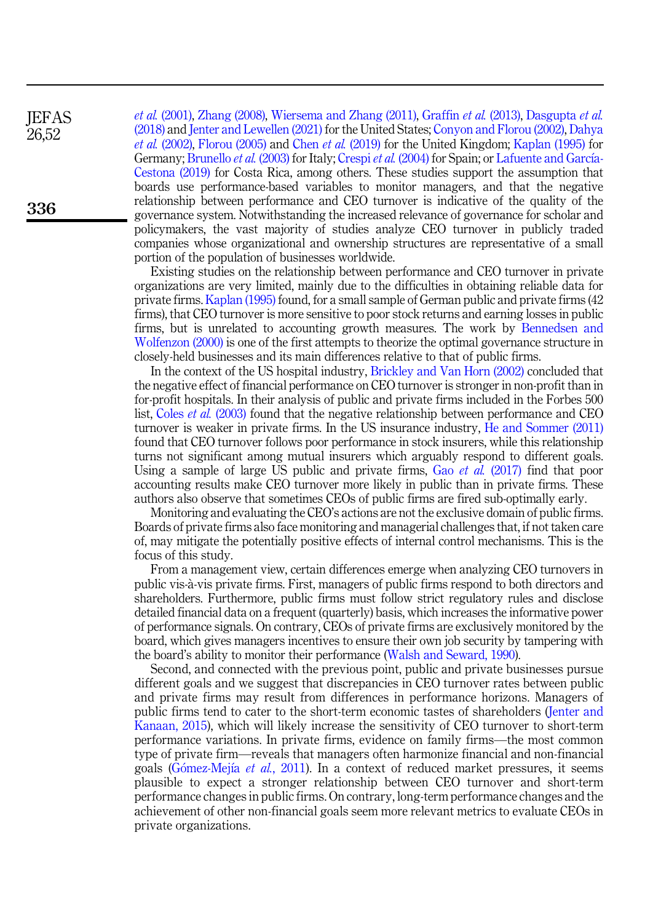et al. [\(2001\),](#page-22-4) [Zhang \(2008\),](#page-22-5) [Wiersema and Zhang \(2011\)](#page-22-7), [Graffin](#page-21-13) et al. (2013), [Dasgupta](#page-21-2) et al. [\(2018\)](#page-21-2) and [Jenter and Lewellen \(2021\)](#page-22-2) for the United States; [Conyon and Florou \(2002\)](#page-21-14), [Dahya](#page-21-15) *et al.* [\(2002\),](#page-21-15) [Florou \(2005\)](#page-21-16) and Chen *et al.* [\(2019\)](#page-21-0) for the United Kingdom; [Kaplan \(1995\)](#page-22-8) for Germany; [Brunello](#page-21-17) *et al.* (2003) for Italy; [Crespi](#page-21-18) *et al.* (2004) for Spain; or [Lafuente and Garc](#page-22-9)í[a-](#page-22-9)[Cestona \(2019\)](#page-22-9) for Costa Rica, among others. These studies support the assumption that boards use performance-based variables to monitor managers, and that the negative relationship between performance and CEO turnover is indicative of the quality of the governance system. Notwithstanding the increased relevance of governance for scholar and policymakers, the vast majority of studies analyze CEO turnover in publicly traded companies whose organizational and ownership structures are representative of a small portion of the population of businesses worldwide.

Existing studies on the relationship between performance and CEO turnover in private organizations are very limited, mainly due to the difficulties in obtaining reliable data for private firms. [Kaplan \(1995\)](#page-22-8) found, for a small sample of German public and private firms (42 firms), that CEO turnover is more sensitive to poor stock returns and earning losses in public firms, but is unrelated to accounting growth measures. The work by [Bennedsen and](#page-20-5) [Wolfenzon \(2000\)](#page-20-5) is one of the first attempts to theorize the optimal governance structure in closely-held businesses and its main differences relative to that of public firms.

In the context of the US hospital industry, [Brickley and Van Horn \(2002\)](#page-20-6) concluded that the negative effect of financial performance on CEO turnover is stronger in non-profit than in for-profit hospitals. In their analysis of public and private firms included in the Forbes 500 list, Coles et al. [\(2003\)](#page-21-3) found that the negative relationship between performance and CEO turnover is weaker in private firms. In the US insurance industry, [He and Sommer \(2011\)](#page-21-5) found that CEO turnover follows poor performance in stock insurers, while this relationship turns not significant among mutual insurers which arguably respond to different goals. Using a sample of large US public and private firms, Gao et al. [\(2017\)](#page-21-4) find that poor accounting results make CEO turnover more likely in public than in private firms. These authors also observe that sometimes CEOs of public firms are fired sub-optimally early.

Monitoring and evaluating the CEO's actions are not the exclusive domain of public firms. Boards of private firms also face monitoring and managerial challenges that, if not taken care of, may mitigate the potentially positive effects of internal control mechanisms. This is the focus of this study.

From a management view, certain differences emerge when analyzing CEO turnovers in public vis-a-vis private firms. First, managers of public firms respond to both directors and shareholders. Furthermore, public firms must follow strict regulatory rules and disclose detailed financial data on a frequent (quarterly) basis, which increases the informative power of performance signals. On contrary, CEOs of private firms are exclusively monitored by the board, which gives managers incentives to ensure their own job security by tampering with the board's ability to monitor their performance ([Walsh and Seward, 1990\)](#page-22-10).

Second, and connected with the previous point, public and private businesses pursue different goals and we suggest that discrepancies in CEO turnover rates between public and private firms may result from differences in performance horizons. Managers of public firms tend to cater to the short-term economic tastes of shareholders ([Jenter and](#page-22-1) [Kanaan, 2015\)](#page-22-1), which will likely increase the sensitivity of CEO turnover to short-term performance variations. In private firms, evidence on family firms—the most common type of private firm—reveals that managers often harmonize financial and non-financial goals ([G](#page-21-9)ó[mez-Mej](#page-21-9)ía *et al.*[, 2011\)](#page-21-9). In a context of reduced market pressures, it seems plausible to expect a stronger relationship between CEO turnover and short-term performance changes in public firms. On contrary, long-term performance changes and the achievement of other non-financial goals seem more relevant metrics to evaluate CEOs in private organizations.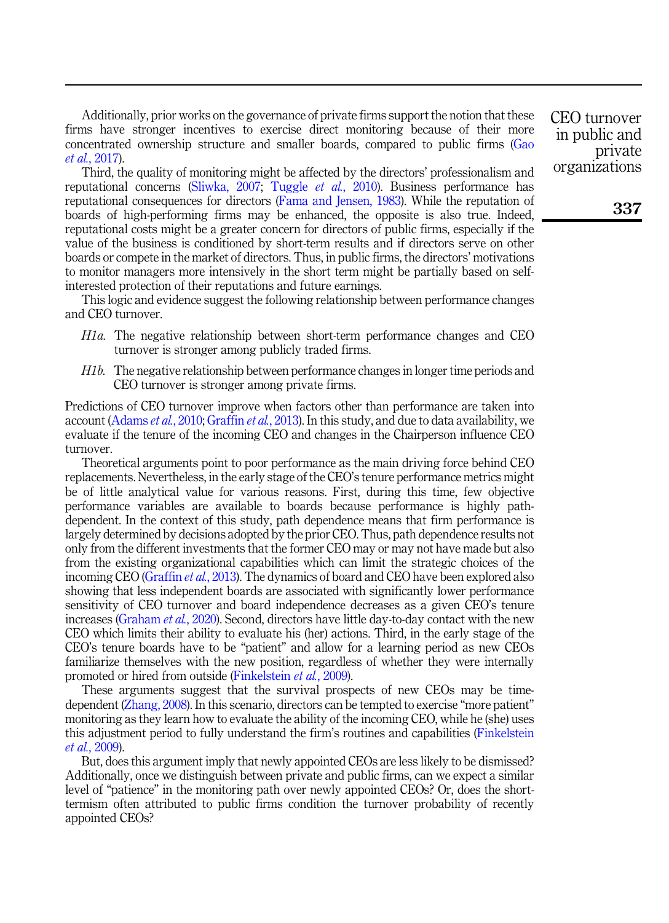Additionally, prior works on the governance of private firms support the notion that these firms have stronger incentives to exercise direct monitoring because of their more concentrated ownership structure and smaller boards, compared to public firms ([Gao](#page-21-4) et al.[, 2017\)](#page-21-4).

Third, the quality of monitoring might be affected by the directors' professionalism and reputational concerns [\(Sliwka, 2007](#page-22-11); [Tuggle](#page-22-6) et al., 2010). Business performance has reputational consequences for directors ([Fama and Jensen, 1983\)](#page-21-11). While the reputation of boards of high-performing firms may be enhanced, the opposite is also true. Indeed, reputational costs might be a greater concern for directors of public firms, especially if the value of the business is conditioned by short-term results and if directors serve on other boards or compete in the market of directors. Thus, in public firms, the directors' motivations to monitor managers more intensively in the short term might be partially based on selfinterested protection of their reputations and future earnings.

This logic and evidence suggest the following relationship between performance changes and CEO turnover.

- <span id="page-4-0"></span>H1a. The negative relationship between short-term performance changes and CEO turnover is stronger among publicly traded firms.
- <span id="page-4-1"></span>H1b. The negative relationship between performance changes in longer time periods and CEO turnover is stronger among private firms.

Predictions of CEO turnover improve when factors other than performance are taken into account ([Adams](#page-20-1) et al., 2010; [Graffin](#page-21-13) et al., 2013). In this study, and due to data availability, we evaluate if the tenure of the incoming CEO and changes in the Chairperson influence CEO turnover.

Theoretical arguments point to poor performance as the main driving force behind CEO replacements. Nevertheless, in the early stage of the CEO's tenure performance metrics might be of little analytical value for various reasons. First, during this time, few objective performance variables are available to boards because performance is highly pathdependent. In the context of this study, path dependence means that firm performance is largely determined by decisions adopted by the prior CEO. Thus, path dependence results not only from the different investments that the former CEO may or may not have made but also from the existing organizational capabilities which can limit the strategic choices of the incoming CEO ([Graffin](#page-21-13) *et al.*, 2013). The dynamics of board and CEO have been explored also showing that less independent boards are associated with significantly lower performance sensitivity of CEO turnover and board independence decreases as a given CEO's tenure increases ([Graham](#page-21-6) et al., 2020). Second, directors have little day-to-day contact with the new CEO which limits their ability to evaluate his (her) actions. Third, in the early stage of the CEO's tenure boards have to be "patient" and allow for a learning period as new CEOs familiarize themselves with the new position, regardless of whether they were internally promoted or hired from outside [\(Finkelstein](#page-21-8) et al., 2009).

These arguments suggest that the survival prospects of new CEOs may be timedependent ([Zhang, 2008\)](#page-22-5). In this scenario, directors can be tempted to exercise "more patient" monitoring as they learn how to evaluate the ability of the incoming CEO, while he (she) uses this adjustment period to fully understand the firm's routines and capabilities ([Finkelstein](#page-21-8) et al.[, 2009\)](#page-21-8).

But, does this argument imply that newly appointed CEOs are less likely to be dismissed? Additionally, once we distinguish between private and public firms, can we expect a similar level of "patience" in the monitoring path over newly appointed CEOs? Or, does the shorttermism often attributed to public firms condition the turnover probability of recently appointed CEOs?

CEO turnover in public and private organizations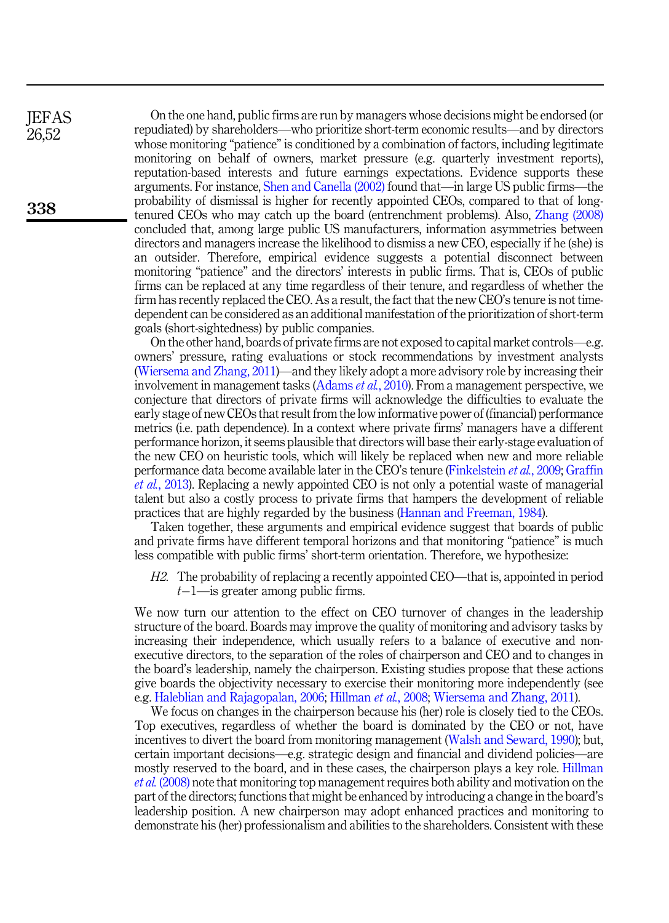On the one hand, public firms are run by managers whose decisions might be endorsed (or repudiated) by shareholders—who prioritize short-term economic results—and by directors whose monitoring "patience" is conditioned by a combination of factors, including legitimate monitoring on behalf of owners, market pressure (e.g. quarterly investment reports), reputation-based interests and future earnings expectations. Evidence supports these arguments. For instance, [Shen and Canella \(2002\)](#page-22-12) found that—in large US public firms—the probability of dismissal is higher for recently appointed CEOs, compared to that of longtenured CEOs who may catch up the board (entrenchment problems). Also, [Zhang \(2008\)](#page-22-5) concluded that, among large public US manufacturers, information asymmetries between directors and managers increase the likelihood to dismiss a new CEO, especially if he (she) is an outsider. Therefore, empirical evidence suggests a potential disconnect between monitoring "patience" and the directors' interests in public firms. That is, CEOs of public firms can be replaced at any time regardless of their tenure, and regardless of whether the firm has recently replaced the CEO. As a result, the fact that the new CEO's tenure is not timedependent can be considered as an additional manifestation of the prioritization of short-term goals (short-sightedness) by public companies.

On the other hand, boards of private firms are not exposed to capital market controls—e.g. owners' pressure, rating evaluations or stock recommendations by investment analysts ([Wiersema and Zhang, 2011\)](#page-22-7)—and they likely adopt a more advisory role by increasing their involvement in management tasks [\(Adams](#page-20-1) et al., 2010). From a management perspective, we conjecture that directors of private firms will acknowledge the difficulties to evaluate the early stage of new CEOs that result from the low informative power of (financial) performance metrics (i.e. path dependence). In a context where private firms' managers have a different performance horizon, it seems plausible that directors will base their early-stage evaluation of the new CEO on heuristic tools, which will likely be replaced when new and more reliable performance data become available later in the CEO's tenure [\(Finkelstein](#page-21-8) et al., 2009; [Graffin](#page-21-13) et al.[, 2013](#page-21-13)). Replacing a newly appointed CEO is not only a potential waste of managerial talent but also a costly process to private firms that hampers the development of reliable practices that are highly regarded by the business [\(Hannan and Freeman, 1984\)](#page-21-19).

Taken together, these arguments and empirical evidence suggest that boards of public and private firms have different temporal horizons and that monitoring "patience" is much less compatible with public firms' short-term orientation. Therefore, we hypothesize:

<span id="page-5-0"></span>H2. The probability of replacing a recently appointed CEO—that is, appointed in period  $t-1$ —is greater among public firms.

We now turn our attention to the effect on CEO turnover of changes in the leadership structure of the board. Boards may improve the quality of monitoring and advisory tasks by increasing their independence, which usually refers to a balance of executive and nonexecutive directors, to the separation of the roles of chairperson and CEO and to changes in the board's leadership, namely the chairperson. Existing studies propose that these actions give boards the objectivity necessary to exercise their monitoring more independently (see e.g. [Haleblian and Rajagopalan, 2006](#page-21-20); [Hillman](#page-22-13) et al., 2008; [Wiersema and Zhang, 2011\)](#page-22-7).

We focus on changes in the chairperson because his (her) role is closely tied to the CEOs. Top executives, regardless of whether the board is dominated by the CEO or not, have incentives to divert the board from monitoring management [\(Walsh and Seward, 1990\)](#page-22-10); but, certain important decisions—e.g. strategic design and financial and dividend policies—are mostly reserved to the board, and in these cases, the chairperson plays a key role. [Hillman](#page-22-13) et al. [\(2008\)](#page-22-13) note that monitoring top management requires both ability and motivation on the part of the directors; functions that might be enhanced by introducing a change in the board's leadership position. A new chairperson may adopt enhanced practices and monitoring to demonstrate his (her) professionalism and abilities to the shareholders. Consistent with these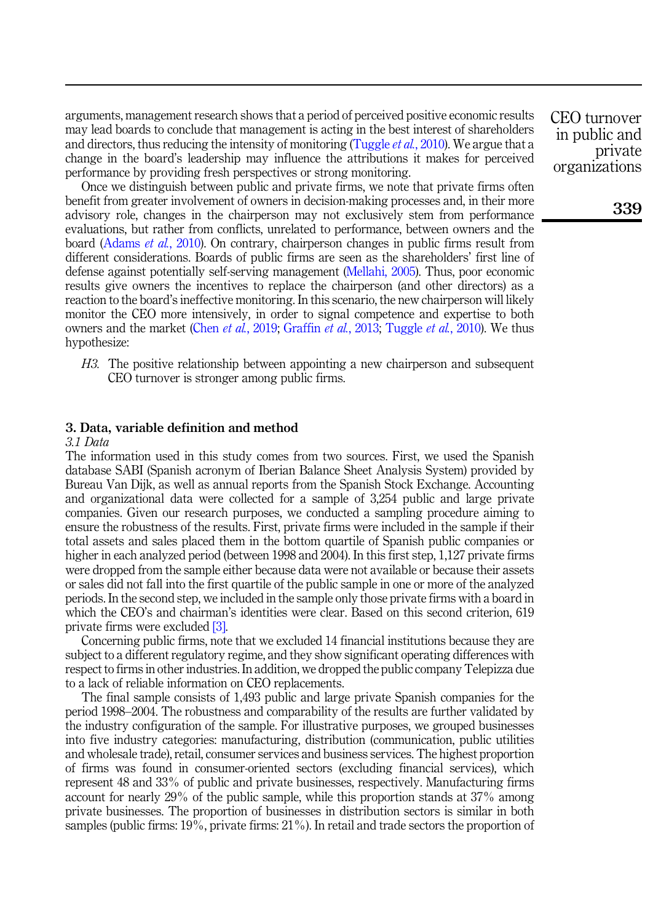arguments, management research shows that a period of perceived positive economic results may lead boards to conclude that management is acting in the best interest of shareholders and directors, thus reducing the intensity of monitoring [\(Tuggle](#page-22-6) et al., 2010). We argue that a change in the board's leadership may influence the attributions it makes for perceived performance by providing fresh perspectives or strong monitoring.

Once we distinguish between public and private firms, we note that private firms often benefit from greater involvement of owners in decision-making processes and, in their more advisory role, changes in the chairperson may not exclusively stem from performance evaluations, but rather from conflicts, unrelated to performance, between owners and the board [\(Adams](#page-20-1) et al., 2010). On contrary, chairperson changes in public firms result from different considerations. Boards of public firms are seen as the shareholders' first line of defense against potentially self-serving management ([Mellahi, 2005](#page-22-14)). Thus, poor economic results give owners the incentives to replace the chairperson (and other directors) as a reaction to the board's ineffective monitoring. In this scenario, the new chairperson will likely monitor the CEO more intensively, in order to signal competence and expertise to both owners and the market (Chen *et al.*[, 2019;](#page-21-0) [Graffin](#page-21-13) *et al.*, 2013; [Tuggle](#page-22-6) *et al.*, 2010). We thus hypothesize:

<span id="page-6-0"></span>H3. The positive relationship between appointing a new chairperson and subsequent CEO turnover is stronger among public firms.

# <span id="page-6-1"></span>3. Data, variable definition and method

### 3.1 Data

The information used in this study comes from two sources. First, we used the Spanish database SABI (Spanish acronym of Iberian Balance Sheet Analysis System) provided by Bureau Van Dijk, as well as annual reports from the Spanish Stock Exchange. Accounting and organizational data were collected for a sample of 3,254 public and large private companies. Given our research purposes, we conducted a sampling procedure aiming to ensure the robustness of the results. First, private firms were included in the sample if their total assets and sales placed them in the bottom quartile of Spanish public companies or higher in each analyzed period (between 1998 and 2004). In this first step, 1,127 private firms were dropped from the sample either because data were not available or because their assets or sales did not fall into the first quartile of the public sample in one or more of the analyzed periods. In the second step, we included in the sample only those private firms with a board in which the CEO's and chairman's identities were clear. Based on this second criterion, 619 private firms were excluded [\[3\]](#page-20-7).

Concerning public firms, note that we excluded 14 financial institutions because they are subject to a different regulatory regime, and they show significant operating differences with respect to firms in other industries. In addition, we dropped the public company Telepizza due to a lack of reliable information on CEO replacements.

The final sample consists of 1,493 public and large private Spanish companies for the period 1998–2004. The robustness and comparability of the results are further validated by the industry configuration of the sample. For illustrative purposes, we grouped businesses into five industry categories: manufacturing, distribution (communication, public utilities and wholesale trade), retail, consumer services and business services. The highest proportion of firms was found in consumer-oriented sectors (excluding financial services), which represent 48 and 33% of public and private businesses, respectively. Manufacturing firms account for nearly 29% of the public sample, while this proportion stands at 37% among private businesses. The proportion of businesses in distribution sectors is similar in both samples (public firms: 19%, private firms: 21%). In retail and trade sectors the proportion of

CEO turnover in public and private organizations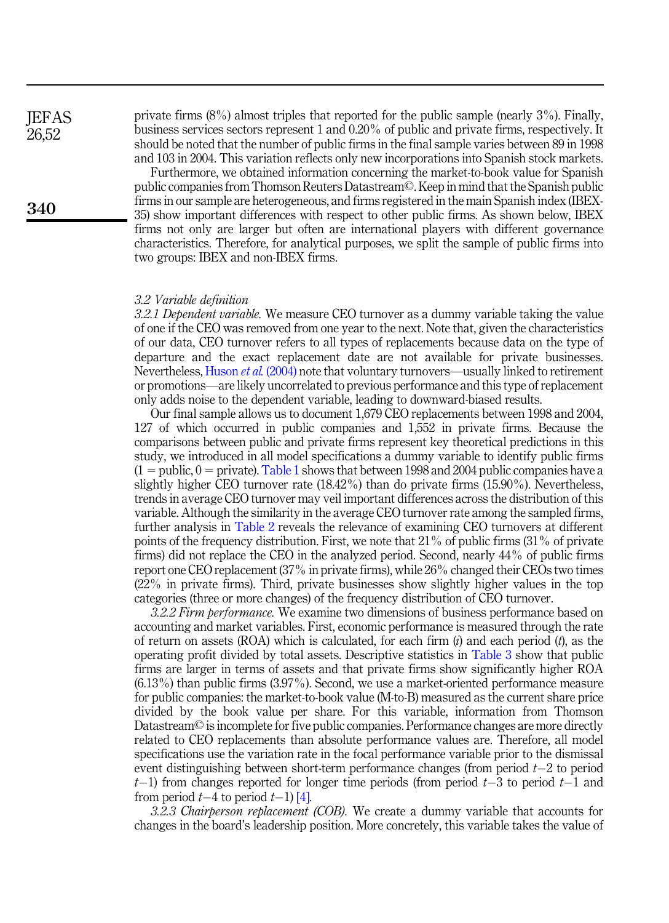**IEFAS** 26,52

340

private firms (8%) almost triples that reported for the public sample (nearly 3%). Finally, business services sectors represent 1 and 0.20% of public and private firms, respectively. It should be noted that the number of public firms in the final sample varies between 89 in 1998 and 103 in 2004. This variation reflects only new incorporations into Spanish stock markets.

Furthermore, we obtained information concerning the market-to-book value for Spanish public companies from Thomson Reuters Datastream©. Keep in mind that the Spanish public firms in our sample are heterogeneous, and firms registered in the main Spanish index (IBEX-35) show important differences with respect to other public firms. As shown below, IBEX firms not only are larger but often are international players with different governance characteristics. Therefore, for analytical purposes, we split the sample of public firms into two groups: IBEX and non-IBEX firms.

#### 3.2 Variable definition

3.2.1 Dependent variable. We measure CEO turnover as a dummy variable taking the value of one if the CEO was removed from one year to the next. Note that, given the characteristics of our data, CEO turnover refers to all types of replacements because data on the type of departure and the exact replacement date are not available for private businesses. Nevertheless, [Huson](#page-22-15) *et al.* (2004) note that voluntary turnovers—usually linked to retirement or promotions—are likely uncorrelated to previous performance and this type of replacement only adds noise to the dependent variable, leading to downward-biased results.

Our final sample allows us to document 1,679 CEO replacements between 1998 and 2004, 127 of which occurred in public companies and 1,552 in private firms. Because the comparisons between public and private firms represent key theoretical predictions in this study, we introduced in all model specifications a dummy variable to identify public firms  $(1 = \text{public}, 0 = \text{private})$ . [Table 1](#page-8-0) shows that between 1998 and 2004 public companies have a slightly higher CEO turnover rate (18.42%) than do private firms (15.90%). Nevertheless, trends in average CEO turnover may veil important differences across the distribution of this variable. Although the similarity in the average CEO turnover rate among the sampled firms, further analysis in [Table 2](#page-8-0) reveals the relevance of examining CEO turnovers at different points of the frequency distribution. First, we note that 21% of public firms (31% of private firms) did not replace the CEO in the analyzed period. Second, nearly 44% of public firms report one CEO replacement (37% in private firms), while 26% changed their CEOs two times (22% in private firms). Third, private businesses show slightly higher values in the top categories (three or more changes) of the frequency distribution of CEO turnover.

3.2.2 Firm performance. We examine two dimensions of business performance based on accounting and market variables. First, economic performance is measured through the rate of return on assets (ROA) which is calculated, for each firm  $(i)$  and each period  $(t)$ , as the operating profit divided by total assets. Descriptive statistics in [Table 3](#page-9-0) show that public firms are larger in terms of assets and that private firms show significantly higher ROA (6.13%) than public firms (3.97%). Second, we use a market-oriented performance measure for public companies: the market-to-book value (M-to-B) measured as the current share price divided by the book value per share. For this variable, information from Thomson Datastream© is incomplete for five public companies. Performance changes are more directly related to CEO replacements than absolute performance values are. Therefore, all model specifications use the variation rate in the focal performance variable prior to the dismissal event distinguishing between short-term performance changes (from period  $t-2$  to period  $t-1$ ) from changes reported for longer time periods (from period  $t-3$  to period  $t-1$  and from period  $t-4$  to period  $t-1$ ) [\[4\]](#page-20-8).

3.2.3 Chairperson replacement (COB). We create a dummy variable that accounts for changes in the board's leadership position. More concretely, this variable takes the value of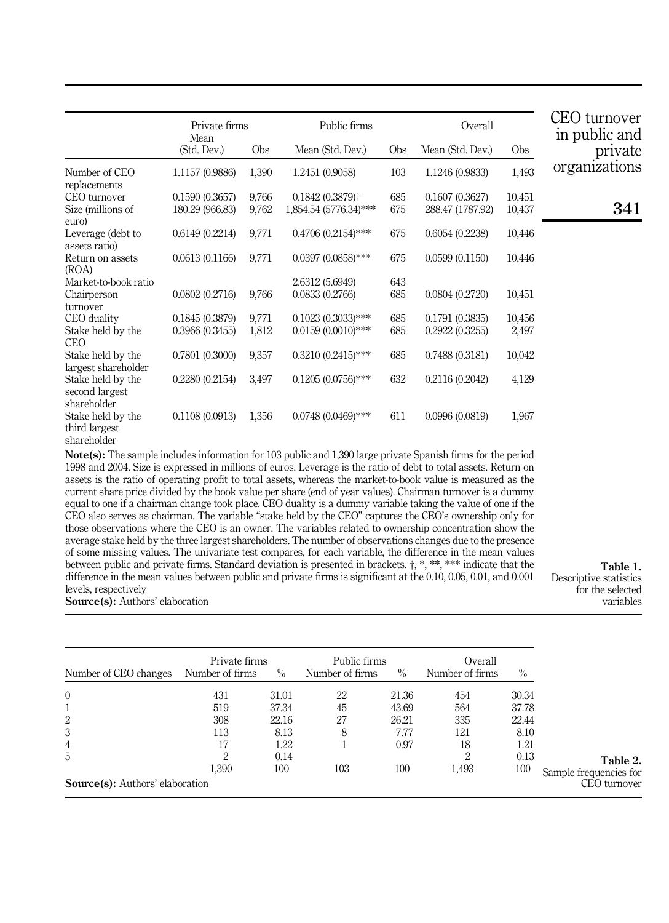<span id="page-8-0"></span>

|                                                    | Private firms<br>Mean |       | Public firms                  |     | Overall          |        | CEO turnover<br>in public and |
|----------------------------------------------------|-----------------------|-------|-------------------------------|-----|------------------|--------|-------------------------------|
|                                                    | (Std. Dev.)           | Obs   | Mean (Std. Dev.)              | Obs | Mean (Std. Dev.) | Obs    | private                       |
| Number of CEO<br>replacements                      | 1.1157 (0.9886)       | 1,390 | 1.2451 (0.9058)               | 103 | 1.1246 (0.9833)  | 1,493  | organizations                 |
| CEO turnover                                       | 0.1590(0.3657)        | 9,766 | $0.1842(0.3879)$ <sup>+</sup> | 685 | 0.1607(0.3627)   | 10,451 |                               |
| Size (millions of<br>euro)                         | 180.29 (966.83)       | 9,762 | 1,854.54 (5776.34)***         | 675 | 288.47 (1787.92) | 10,437 | 341                           |
| Leverage (debt to<br>assets ratio)                 | 0.6149(0.2214)        | 9,771 | $0.4706(0.2154)$ ***          | 675 | 0.6054(0.2238)   | 10,446 |                               |
| Return on assets<br>(ROA)                          | 0.0613(0.1166)        | 9,771 | $0.0397(0.0858)$ ***          | 675 | 0.0599(0.1150)   | 10,446 |                               |
| Market-to-book ratio                               |                       |       | 2.6312 (5.6949)               | 643 |                  |        |                               |
| Chairperson<br>turnover                            | 0.0802(0.2716)        | 9,766 | 0.0833(0.2766)                | 685 | 0.0804(0.2720)   | 10,451 |                               |
| CEO duality                                        | 0.1845(0.3879)        | 9,771 | $0.1023(0.3033)$ ***          | 685 | 0.1791(0.3835)   | 10,456 |                               |
| Stake held by the<br><b>CEO</b>                    | 0.3966(0.3455)        | 1,812 | $0.0159(0.0010)$ ***          | 685 | 0.2922(0.3255)   | 2,497  |                               |
| Stake held by the<br>largest shareholder           | 0.7801(0.3000)        | 9,357 | $0.3210(0.2415)$ ***          | 685 | 0.7488(0.3181)   | 10,042 |                               |
| Stake held by the<br>second largest<br>shareholder | 0.2280(0.2154)        | 3,497 | $0.1205(0.0756)$ ***          | 632 | 0.2116(0.2042)   | 4,129  |                               |
| Stake held by the<br>third largest<br>shareholder  | 0.1108(0.0913)        | 1,356 | $0.0748(0.0469)$ ***          | 611 | 0.0996(0.0819)   | 1,967  |                               |

Note(s): The sample includes information for 103 public and 1,390 large private Spanish firms for the period 1998 and 2004. Size is expressed in millions of euros. Leverage is the ratio of debt to total assets. Return on assets is the ratio of operating profit to total assets, whereas the market-to-book value is measured as the current share price divided by the book value per share (end of year values). Chairman turnover is a dummy equal to one if a chairman change took place. CEO duality is a dummy variable taking the value of one if the CEO also serves as chairman. The variable "stake held by the CEO" captures the CEO's ownership only for those observations where the CEO is an owner. The variables related to ownership concentration show the average stake held by the three largest shareholders. The number of observations changes due to the presence of some missing values. The univariate test compares, for each variable, the difference in the mean values between public and private firms. Standard deviation is presented in brackets.  $\dagger$ , \*, \*\*, \*\*\* indicate that the difference in the mean values between public and private firms is significant at the 0.10, 0.05, 0.01, and 0.001 levels, respectively Source(s): Authors' elaboration

Table 1. Descriptive statistics for the selected variables

|                                        | Private firms   |       | Public firms    |               | Overall         |       |                        |
|----------------------------------------|-----------------|-------|-----------------|---------------|-----------------|-------|------------------------|
| Number of CEO changes                  | Number of firms | $\%$  | Number of firms | $\frac{0}{0}$ | Number of firms | $\%$  |                        |
| $\theta$                               | 431             | 31.01 | 22              | 21.36         | 454             | 30.34 |                        |
|                                        | 519             | 37.34 | 45              | 43.69         | 564             | 37.78 |                        |
| 2                                      | 308             | 22.16 | 27              | 26.21         | 335             | 22.44 |                        |
| 3                                      | 113             | 8.13  | 8               | 7.77          | 121             | 8.10  |                        |
| $\overline{4}$                         | 17              | 1.22  |                 | 0.97          | 18              | 1.21  |                        |
| 5                                      | 2               | 0.14  |                 |               | $\overline{2}$  | 0.13  | Table 2.               |
|                                        | 1.390           | 100   | 103             | 100           | 1,493           | 100   | Sample frequencies for |
| <b>Source(s):</b> Authors' elaboration |                 |       |                 |               |                 |       | CEO turnover           |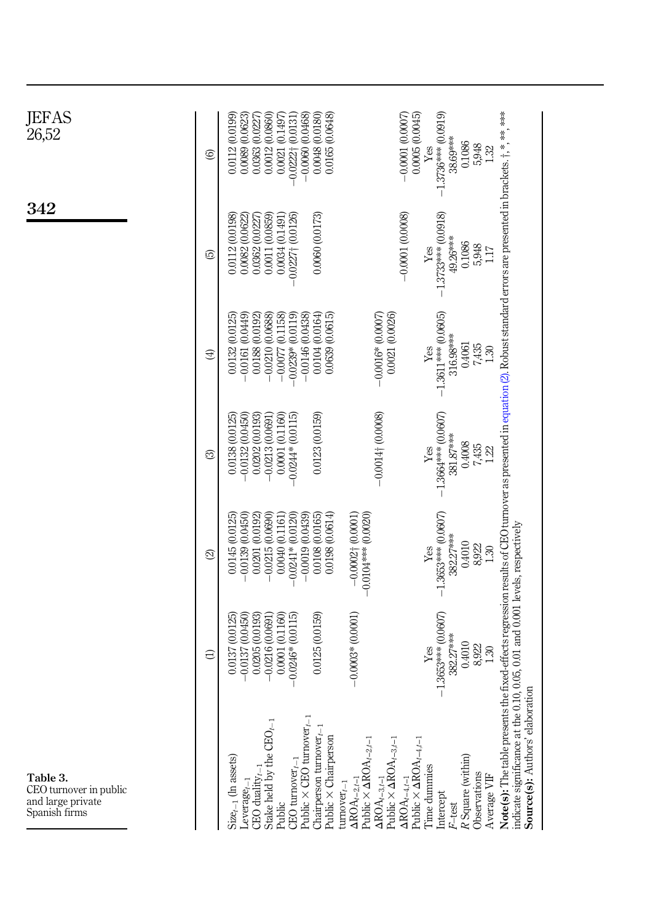<span id="page-9-0"></span>

| JEFAS<br>26,52                                                           | ම        | 0.0012 (0.0860)<br>0.0021 (0.1497)<br>$-0.0060(0.0468)$<br>0.0112 (0.0199)<br>0.0089 (0.0623)<br>0.0363 (0.0227)<br>$-0.0222 + 0.0131$                                                        | 0.0048 (0.0180)<br>0.0165 (0.0648)                                                                                                                                                                                                                                         | $-1.3736***$ (0.0919)<br>$-0.0001$ (0.0007)<br>0.0005(0.0045)<br>38.69***<br>0.1086<br>5,948<br>Yes<br>1.32                                                                   |                                                                                                                                                                                                                                                                                                    |
|--------------------------------------------------------------------------|----------|-----------------------------------------------------------------------------------------------------------------------------------------------------------------------------------------------|----------------------------------------------------------------------------------------------------------------------------------------------------------------------------------------------------------------------------------------------------------------------------|-------------------------------------------------------------------------------------------------------------------------------------------------------------------------------|----------------------------------------------------------------------------------------------------------------------------------------------------------------------------------------------------------------------------------------------------------------------------------------------------|
| 342                                                                      | ⊡        | 0.0011 (0.0859)<br>0.0112 (0.0198)<br>0.0082 (0.0622)<br>0.0362 (0.0227)<br>0.0034 (0.1491)<br>$-0.0227 + 0.0126$                                                                             | 0.0060 (0.0173)                                                                                                                                                                                                                                                            | $-0.0001(0.0008)$<br>$-1.3733***$ (0.0918)<br>49.26***<br>0.1086<br>5,948<br>Yes<br>117                                                                                       |                                                                                                                                                                                                                                                                                                    |
|                                                                          | $\oplus$ | $-0.0161(0.0449)$<br>0.0188(0.0192)<br>$-0.0210(0.0688)$<br>$-0.0077$ (0.1158)<br>$-0.0239*0.0119$<br>$-0.0146(0.0438)$<br>0.0132 (0.0125)                                                    | $-0.0016*$ (0.0007)<br>0.0104(0.0164)<br>0.0639(0.0615)<br>0.0021 (0.0026)                                                                                                                                                                                                 | $\begin{array}{c}\nY_{\rm CS} \\ -1.3611***\,(0.0605)\n\end{array}$<br>316.98***<br>0.4061<br>7,435<br>1.30                                                                   |                                                                                                                                                                                                                                                                                                    |
|                                                                          | ි        | $-0.0132(0.0450)$<br>0.0001 (0.1160)<br>0.0202 (0.0193)<br>$-0.0244*(0.0115)$<br>0.0138 (0.0125)<br>$-0.0213(0.0691)$                                                                         | $-0.0014$ $(0.0008)$<br>0.0123 (0.0159)                                                                                                                                                                                                                                    | $-1.3664***$ (0.0607)<br>381.87***<br>0.4008<br>7,435<br>Yes<br>1.22                                                                                                          |                                                                                                                                                                                                                                                                                                    |
|                                                                          | ଛ        | $-0.0139(0.0450)$<br>$-0.0019(0.0439)$<br>$-0.0215(0.0690)$<br>$-0.0241*0.0120$<br>0.0145 (0.0125)<br>0.0201 (0.0192)<br>0.0040 (0.1161)                                                      | $-0.0002 + (0.0001)$<br>0.0198 (0.0614)<br>0.0108 (0.0165)<br>$-0.0104***0.0020$                                                                                                                                                                                           | $-1.3653***$ (0.0607)<br>382.27***<br>0.4010<br>8,922<br>Yes<br>$1.30\,$                                                                                                      |                                                                                                                                                                                                                                                                                                    |
|                                                                          | Э        | $-0.0137(0.0450)$<br>0.0001 (0.1160)<br>0.0205 (0.0193)<br>$-0.0216(0.0691)$<br>$-0.0246*$ (0.0115)<br>0.0137 (0.0125)                                                                        | $-0.0003*00.0001$<br>0.0125 (0.0159)                                                                                                                                                                                                                                       | 1.3653*** (0.0607)<br>382.27***<br>0.4010<br>8,922<br>Yes<br>1.30                                                                                                             |                                                                                                                                                                                                                                                                                                    |
| Table 3.<br>CEO turnover in public<br>and large private<br>Spanish firms |          | Public $\times$ CEO turnover $_{t-1}$<br>Stake held by the $CEO_{t-1}$<br>CEO turnover $_{t-1}$<br>$Size_{t-1}$ (In assets)<br>$CEO$ duality <sub>t-1</sub><br>$L$ everage $_{t-1}$<br>Public | Chairperson turnover $_{t-}$<br>Public × Chairperson<br>Public $\times$ $\Delta$ ROA <sub>t-2.t-1</sub><br>$\begin{array}{l}\Delta{\rm ROA}_{t-3,t-1}\\ \mbox{Public} \times \Delta{\rm ROA}_{t-3,t-1}\end{array}$<br>$\Delta\text{ROA}_{t-2,t-1}$<br>$t$ urnover $_{t-1}$ | Public $\times$ $\Delta \text{ROA}_{t-4,t-1}$<br>R Square (within)<br>l'ime dummies<br>Observations<br>Average VIF<br>$\Delta \text{ROA}_{t-4,t-1}$<br>Intercept<br>$F$ -test | Note(s): The table presents the fixed-effects regression results of CEO turnover as presented in equation (2). Robust standard errors are presented in brackets, t, *, ***, ***<br>indicate significance at the 0.10, 0.05, 0.01 and 0.001 levels, respectively<br>Source(s): Authors' elaboration |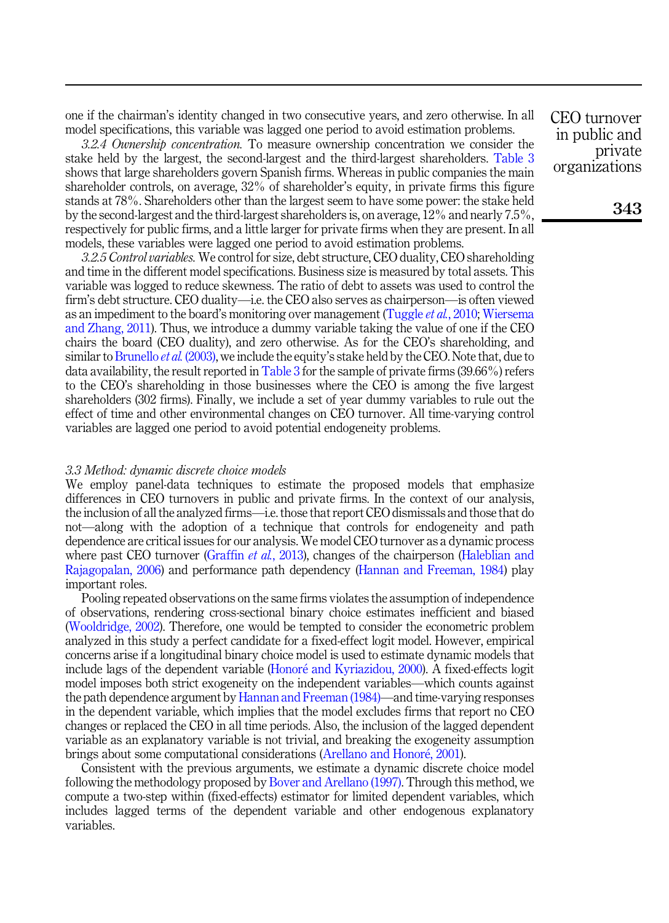one if the chairman's identity changed in two consecutive years, and zero otherwise. In all model specifications, this variable was lagged one period to avoid estimation problems.

3.2.4 Ownership concentration. To measure ownership concentration we consider the stake held by the largest, the second-largest and the third-largest shareholders. [Table 3](#page-9-0) shows that large shareholders govern Spanish firms. Whereas in public companies the main shareholder controls, on average, 32% of shareholder's equity, in private firms this figure stands at 78%. Shareholders other than the largest seem to have some power: the stake held by the second-largest and the third-largest shareholders is, on average, 12% and nearly 7.5%, respectively for public firms, and a little larger for private firms when they are present. In all models, these variables were lagged one period to avoid estimation problems.

3.2.5 Control variables. We control for size, debt structure, CEO duality, CEO shareholding and time in the different model specifications. Business size is measured by total assets. This variable was logged to reduce skewness. The ratio of debt to assets was used to control the firm's debt structure. CEO duality—i.e. the CEO also serves as chairperson—is often viewed as an impediment to the board's monitoring over management ([Tuggle](#page-22-6) *et al.*, 2010; [Wiersema](#page-22-7) [and Zhang, 2011](#page-22-7)). Thus, we introduce a dummy variable taking the value of one if the CEO chairs the board (CEO duality), and zero otherwise. As for the CEO's shareholding, and similar to [Brunello](#page-21-17) *et al.* (2003), we include the equity's stake held by the CEO. Note that, due to data availability, the result reported in [Table 3](#page-9-0) for the sample of private firms (39.66%) refers to the CEO's shareholding in those businesses where the CEO is among the five largest shareholders (302 firms). Finally, we include a set of year dummy variables to rule out the effect of time and other environmental changes on CEO turnover. All time-varying control variables are lagged one period to avoid potential endogeneity problems.

#### 3.3 Method: dynamic discrete choice models

We employ panel-data techniques to estimate the proposed models that emphasize differences in CEO turnovers in public and private firms. In the context of our analysis, the inclusion of all the analyzed firms—i.e. those that report CEO dismissals and those that do not—along with the adoption of a technique that controls for endogeneity and path dependence are critical issues for our analysis. We model CEO turnover as a dynamic process where past CEO turnover ([Graffin](#page-21-13) *et al.*, 2013), changes of the chairperson ([Haleblian and](#page-21-20) [Rajagopalan, 2006\)](#page-21-20) and performance path dependency ([Hannan and Freeman, 1984\)](#page-21-19) play important roles.

Pooling repeated observations on the same firms violates the assumption of independence of observations, rendering cross-sectional binary choice estimates inefficient and biased ([Wooldridge, 2002\)](#page-22-16). Therefore, one would be tempted to consider the econometric problem analyzed in this study a perfect candidate for a fixed-effect logit model. However, empirical concerns arise if a longitudinal binary choice model is used to estimate dynamic models that include lags of the dependent variable ([Honor](#page-22-17)é and Kyriazidou, 2000). A fixed-effects logit model imposes both strict exogeneity on the independent variables—which counts against the path dependence argument by [Hannan and Freeman \(1984\)](#page-21-19)—and time-varying responses in the dependent variable, which implies that the model excludes firms that report no CEO changes or replaced the CEO in all time periods. Also, the inclusion of the lagged dependent variable as an explanatory variable is not trivial, and breaking the exogeneity assumption brings about some computational considerations [\(Arellano and Honor](#page-20-9)é, 2001).

Consistent with the previous arguments, we estimate a dynamic discrete choice model following the methodology proposed by [Bover and Arellano \(1997\).](#page-20-4) Through this method, we compute a two-step within (fixed-effects) estimator for limited dependent variables, which includes lagged terms of the dependent variable and other endogenous explanatory variables.

CEO turnover in public and private organizations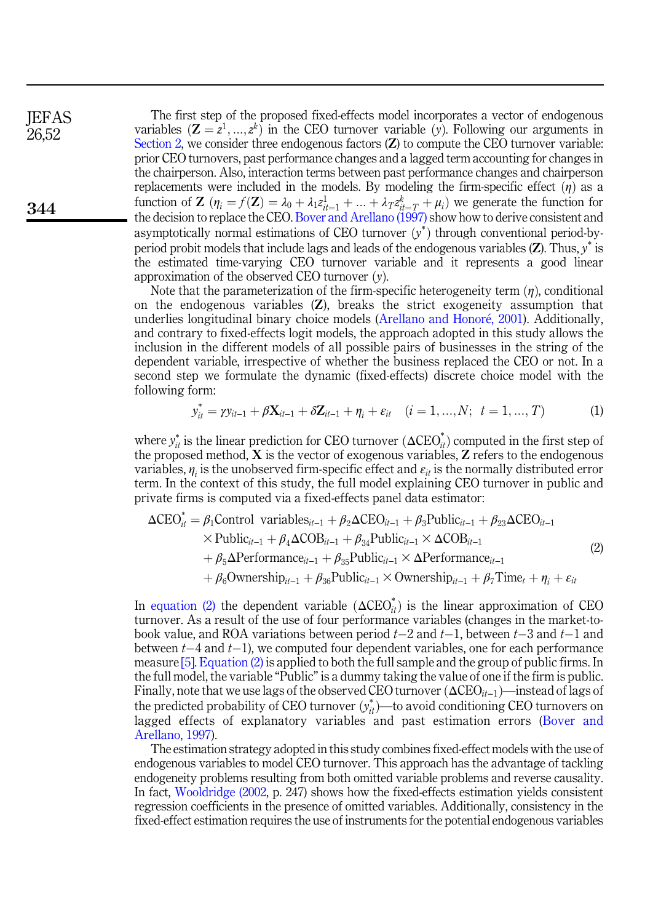**IEFAS** 26,52

344

The first step of the proposed fixed-effects model incorporates a vector of endogenous variables  $(\mathbf{Z} = z^1, ..., z^k)$  in the CEO turnover variable  $(y)$ . Following our arguments in [Section 2,](#page-2-0) we consider three endogenous factors (**Z**) to compute the CEO turnover variable: prior CEO turnovers, past performance changes and a lagged term accounting for changes in the chairperson. Also, interaction terms between past performance changes and chairperson replacements were included in the models. By modeling the firm-specific effect  $(\eta)$  as a function of  $\mathbf{Z}$   $(\eta_i = f(\mathbf{Z}) = \lambda_0 + \lambda_1 z_{i+1}^1 + \ldots + \lambda_T z_{i}^k + \mu_i)$  we generate the function for the decision to replace the CEO. [Bover and Arellano \(1997\)](#page-20-4) show how to derive consistent and asymptotically normal estimations of CEO turnover  $(y^*)$  through conventional period-byperiod probit models that include lags and leads of the endogenous variables  $(Z)$ . Thus,  $y^*$  is the estimated time-varying CEO turnover variable and it represents a good linear approximation of the observed CEO turnover  $(v)$ .

Note that the parameterization of the firm-specific heterogeneity term  $(\eta)$ , conditional on the endogenous variables  $(Z)$ , breaks the strict exogeneity assumption that underlies longitudinal binary choice models [\(Arellano and Honor](#page-20-9)[e, 2001\)](#page-20-9). Additionally, and contrary to fixed-effects logit models, the approach adopted in this study allows the inclusion in the different models of all possible pairs of businesses in the string of the dependent variable, irrespective of whether the business replaced the CEO or not. In a second step we formulate the dynamic (fixed-effects) discrete choice model with the following form:

form:  
\n
$$
y_{it}^{*} = \gamma y_{it-1} + \beta \mathbf{X}_{it-1} + \delta \mathbf{Z}_{it-1} + \eta_i + \varepsilon_{it} \quad (i = 1, ..., N; \ t = 1, ..., T)
$$
\n(1)

<span id="page-11-1"></span>where  $y_{it}^*$  is the linear prediction for CEO turnover  $(\Delta CEO_{it}^*)$  computed in the first step of the proposed method,  $X$  is the vector of exogenous variables,  $Z$  refers to the endogenous variables,  $\eta_i$  is the unobserved firm-specific effect and  $\varepsilon_{it}$  is the normally distributed error term. In the context of this study, the full model explaining CEO turnover in public and

<span id="page-11-0"></span>private firms is computed via a fixed-effects panel data estimator:  
\n
$$
\Delta CEO_{it}^* = \beta_1 \text{Control variables}_{it-1} + \beta_2 \Delta CEO_{it-1} + \beta_3 \text{Public}_{it-1} + \beta_{23} \Delta CEO_{it-1}
$$
\n
$$
\times \text{Public}_{it-1} + \beta_4 \Delta COB_{it-1} + \beta_{34} \text{Public}_{it-1} \times \Delta COB_{it-1}
$$
\n
$$
+ \beta_5 \Delta \text{Performance}_{it-1} + \beta_{35} \text{Public}_{it-1} \times \Delta \text{Performance}_{it-1}
$$
\n
$$
+ \beta_6 \text{Ownership}_{it-1} + \beta_{36} \text{Public}_{it-1} \times \text{Ownership}_{it-1} + \beta_7 \text{Time}_{t} + \eta_{i} + \varepsilon_{it}
$$
\n(2)

In [equation \(2\)](#page-11-0) the dependent variable  $(\Delta \text{CEO}_{it}^*)$  is the linear approximation of CEO turnover. As a result of the use of four performance variables (changes in the market-tobook value, and ROA variations between period  $t-2$  and  $t-1$ , between  $t-3$  and  $t-1$  and between  $t-4$  and  $t-1$ ), we computed four dependent variables, one for each performance measure [\[5\]](#page-20-10). [Equation \(2\)](#page-11-0) is applied to both the full sample and the group of public firms. In the full model, the variable "Public" is a dummy taking the value of one if the firm is public. Finally, note that we use lags of the observed CEO turnover  $(\Delta \text{CEO}_{it-1})$ —instead of lags of the predicted probability of CEO turnover  $(y_{it}^{*})$ —to avoid conditioning CEO turnovers on lagged effects of explanatory variables and past estimation errors [\(Bover and](#page-20-4) [Arellano, 1997\)](#page-20-4).

The estimation strategy adopted in this study combines fixed-effect models with the use of endogenous variables to model CEO turnover. This approach has the advantage of tackling endogeneity problems resulting from both omitted variable problems and reverse causality. In fact, [Wooldridge \(2002](#page-22-16), p. 247) shows how the fixed-effects estimation yields consistent regression coefficients in the presence of omitted variables. Additionally, consistency in the fixed-effect estimation requires the use of instruments for the potential endogenous variables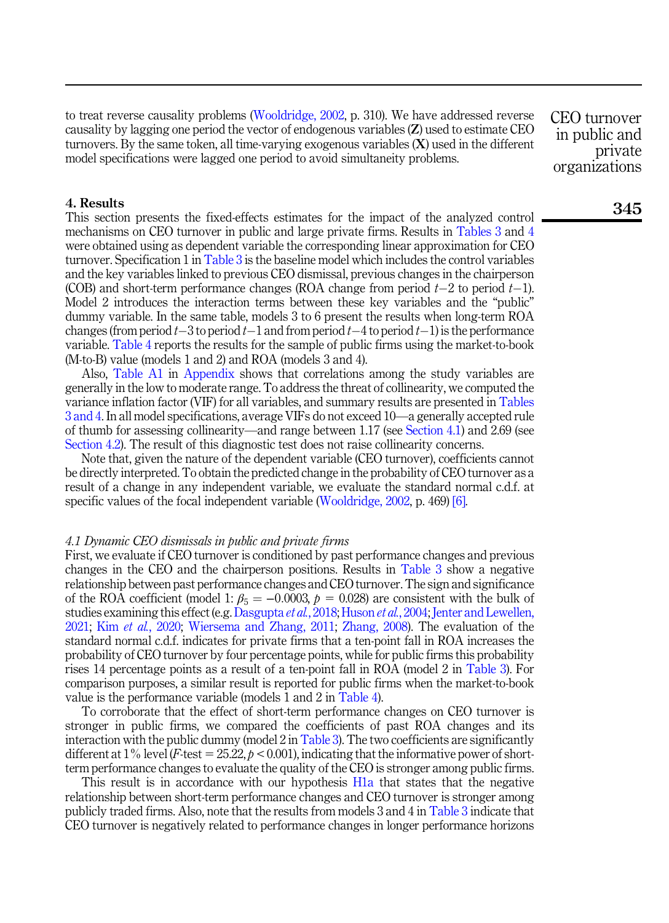to treat reverse causality problems ([Wooldridge, 2002,](#page-22-16) p. 310). We have addressed reverse causality by lagging one period the vector of endogenous variables (Z) used to estimate CEO turnovers. By the same token, all time-varying exogenous variables  $(X)$  used in the different model specifications were lagged one period to avoid simultaneity problems.

CEO turnover in public and private organizations

#### 4. Results

This section presents the fixed-effects estimates for the impact of the analyzed control mechanisms on CEO turnover in public and large private firms. Results in [Tables 3](#page-9-0) and [4](#page-13-0) were obtained using as dependent variable the corresponding linear approximation for CEO turnover. Specification 1 in [Table 3](#page-9-0) is the baseline model which includes the control variables and the key variables linked to previous CEO dismissal, previous changes in the chairperson (COB) and short-term performance changes (ROA change from period  $t-2$  to period  $t-1$ ). Model 2 introduces the interaction terms between these key variables and the "public" dummy variable. In the same table, models 3 to 6 present the results when long-term ROA changes (from period  $t-3$  to period  $t-1$  and from period  $t-4$  to period  $t-1$ ) is the performance variable. [Table 4](#page-13-0) reports the results for the sample of public firms using the market-to-book (M-to-B) value (models 1 and 2) and ROA (models 3 and 4).

Also, [Table A1](#page-23-0) in [Appendix](#page-23-1) shows that correlations among the study variables are generally in the low to moderate range. To address the threat of collinearity, we computed the variance inflation factor (VIF) for all variables, and summary results are presented in [Tables](#page-9-0) [3 and 4.](#page-9-0) In all model specifications, average VIFs do not exceed 10—a generally accepted rule of thumb for assessing collinearity—and range between 1.17 (see [Section 4.1](#page-12-0)) and 2.69 (see [Section 4.2\)](#page-15-0). The result of this diagnostic test does not raise collinearity concerns.

Note that, given the nature of the dependent variable (CEO turnover), coefficients cannot be directly interpreted. To obtain the predicted change in the probability of CEO turnover as a result of a change in any independent variable, we evaluate the standard normal c.d.f. at specific values of the focal independent variable ([Wooldridge, 2002](#page-22-16), p. 469) [\[6\]](#page-20-11).

#### <span id="page-12-0"></span>4.1 Dynamic CEO dismissals in public and private firms

First, we evaluate if CEO turnover is conditioned by past performance changes and previous changes in the CEO and the chairperson positions. Results in [Table 3](#page-9-0) show a negative relationship between past performance changes and CEO turnover. The sign and significance of the ROA coefficient (model 1:  $\beta_5 = -0.0003$ ,  $p = 0.028$ ) are consistent with the bulk of studies examining this effect (e.g. [Dasgupta](#page-21-2) et al., 2018; [Huson](#page-22-15) et al., 2004; [Jenter and Lewellen,](#page-22-2) [2021;](#page-22-2) Kim et al.[, 2020](#page-22-3); [Wiersema and Zhang, 2011](#page-22-7); [Zhang, 2008\)](#page-22-5). The evaluation of the standard normal c.d.f. indicates for private firms that a ten-point fall in ROA increases the probability of CEO turnover by four percentage points, while for public firms this probability rises 14 percentage points as a result of a ten-point fall in ROA (model 2 in [Table 3](#page-9-0)). For comparison purposes, a similar result is reported for public firms when the market-to-book value is the performance variable (models 1 and 2 in [Table 4\)](#page-13-0).

To corroborate that the effect of short-term performance changes on CEO turnover is stronger in public firms, we compared the coefficients of past ROA changes and its interaction with the public dummy (model  $2$  in [Table 3\)](#page-9-0). The two coefficients are significantly different at 1% level (F-test =  $25.22$ ,  $p < 0.001$ ), indicating that the informative power of shortterm performance changes to evaluate the quality of the CEO is stronger among public firms.

This result is in accordance with our hypothesis [H1a](#page-4-0) that states that the negative relationship between short-term performance changes and CEO turnover is stronger among publicly traded firms. Also, note that the results from models 3 and 4 in [Table 3](#page-9-0) indicate that CEO turnover is negatively related to performance changes in longer performance horizons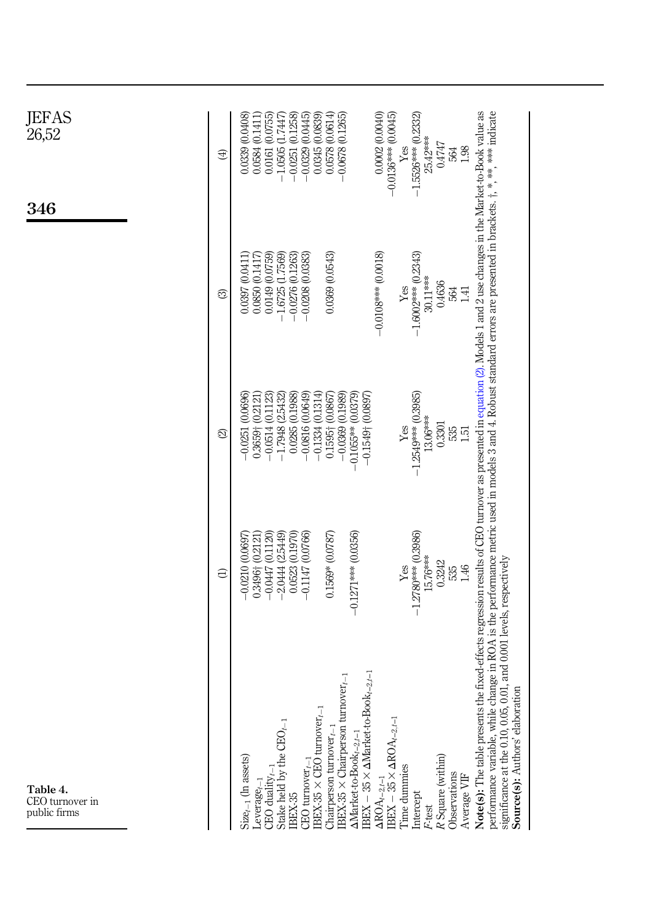<span id="page-13-0"></span>

| JEFAS<br>26,52                              | $\bigoplus$ | $-0.0251(0.1258)$<br>$-0.0329(0.0445)$<br>0.0578(0.0614)<br>0.0002 (0.0040)<br>$-0.0136***$ (0.0045)<br>$-1.5526***$ (0.2332)<br>0.0339 (0.0408)<br>0.0161 (0.0755)<br>$-1.0505(1.7447)$<br>0.0345 (0.0839)<br>$-0.0678(0.1265)$<br>0.0584 (0.1411)<br>$25.42***$<br>0.4747<br>$\ensuremath{\mathsf{Yes}}$<br>564<br>1.98                                                                                                                                                                                                                                                                                                                                                                                                                                                                                                                                                                                                                                                                                                                |
|---------------------------------------------|-------------|------------------------------------------------------------------------------------------------------------------------------------------------------------------------------------------------------------------------------------------------------------------------------------------------------------------------------------------------------------------------------------------------------------------------------------------------------------------------------------------------------------------------------------------------------------------------------------------------------------------------------------------------------------------------------------------------------------------------------------------------------------------------------------------------------------------------------------------------------------------------------------------------------------------------------------------------------------------------------------------------------------------------------------------|
| 346                                         | ම           | 0.0149 (0.0759)<br>0.0369 (0.0543)<br>$-0.0108***0.0018$<br>$-1.6002***$ (0.2343)<br>$-1.6725$ $(1.7569)$<br>$-0.0276$ (0.1263)<br>$-0.0208(0.0383)$<br>0.0397 0.0411<br>0.0850(0.1417)<br>$30.11***$<br>0.4636<br>$\operatorname{Yes}$<br>564<br>1.41                                                                                                                                                                                                                                                                                                                                                                                                                                                                                                                                                                                                                                                                                                                                                                                   |
|                                             | ସ           | $-1.2549***$ (0.3985)<br>$-0.0514(0.1123)$<br>$-0.0816(0.0649)$<br>$-0.1334(0.1314)$<br>$-0.1055**$ (0.0379)<br>(0.0696)<br>$-1.7948(2.5432)$<br>0.0285 (0.1988)<br>$0.1595 + 0.0867$<br>$-0.0369(0.1989)$<br>$0.3659 + (0.2121)$<br>$-0.1549 + (0.0897)$<br>$13.06***$<br>0.3301<br>Yes<br>535<br>$-0.0251$<br>151                                                                                                                                                                                                                                                                                                                                                                                                                                                                                                                                                                                                                                                                                                                      |
|                                             | Э           | 0.1569* (0.0787)<br>$-0.0447(0.1120)$<br>$-2.0444(2.5449)$<br>0.0523 (0.1970)<br>$-0.1271***$ (0.0356)<br>$-1.2780***$ (0.3986)<br>0.3496† (0.2121)<br>$-0.1147(0.0766)$<br>$-0.0210$ $0.0697$<br>$15.76***$<br>0.01, and 0.001 levels, respectively<br>0.3242<br>$\ensuremath{\mathrm{Yes}}$<br>535<br>1.46                                                                                                                                                                                                                                                                                                                                                                                                                                                                                                                                                                                                                                                                                                                             |
| Table 4.<br>CEO turnover in<br>public firms |             | Note(s): The table presents the fixed-effects regression results of CEO turnover as presented in equation (2). Models 1 and 2 use changes in the Market-to-Book value as<br>performance variable, while change in ROA is the performance metric used in models 3 and 4. Robust standard errors are presented in brackets. †, *, **, **** indicate<br>$\text{IBEX} - 35 \times \Delta \text{Market-to-Book}_{t-2,t-1}$<br>$\text{IBEX-35}\times\text{Chairperson turnover}_{t-1}$<br>Source(s): Authors' elaboration<br>significance at the 0.10, 0.05,<br>$\text{IBEX-35} \times \text{CEO turnover}_{t-1}$<br>$\frac{\Delta \text{ROA}_{t-2,t-1}}{\text{IBEX} - 35 \times \Delta \text{ROA}_{t-2,t-1}}$<br>Stake held by the CEO <sub>t-1</sub><br>Chairperson turnover $_{t-1}$<br>$\Delta \text{Market-to-Book}_{t-2,t-1}$<br>R Square (within)<br>$Size_{t-1}$ (In assets)<br>CEO turnover $_{t-1}$<br>Time dummies<br>CEO duality $_{t-1}$<br>Observations<br>Average VIF<br>$L$ everage $_{t-1}$<br>Intercept<br>IBEX-35<br>F-test |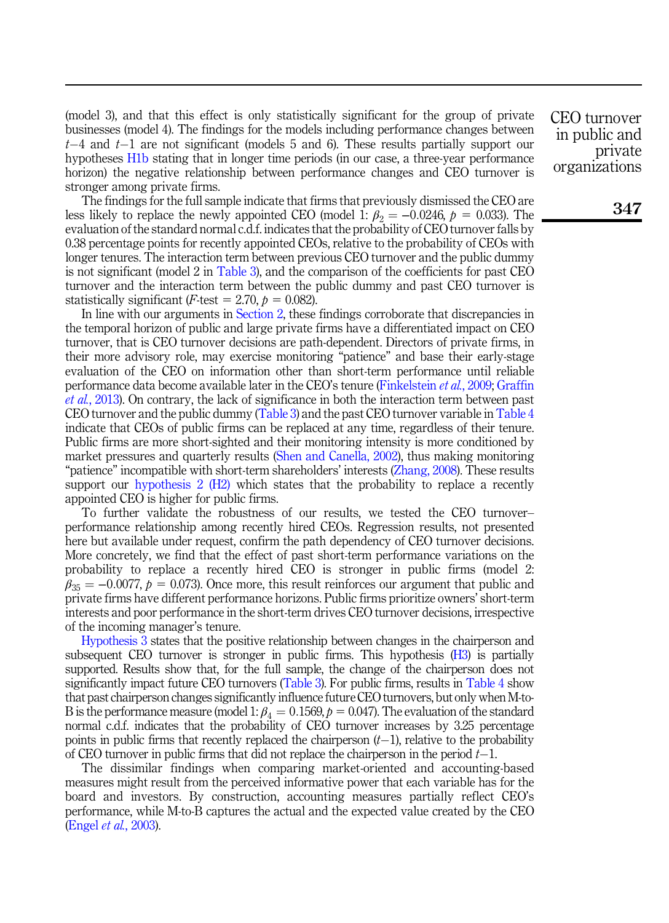(model 3), and that this effect is only statistically significant for the group of private businesses (model 4). The findings for the models including performance changes between  $t-4$  and  $t-1$  are not significant (models 5 and 6). These results partially support our hypotheses [H1b](#page-4-1) stating that in longer time periods (in our case, a three-year performance horizon) the negative relationship between performance changes and CEO turnover is stronger among private firms.

The findings for the full sample indicate that firms that previously dismissed the CEO are less likely to replace the newly appointed CEO (model 1:  $\beta_2 = -0.0246$ ,  $p = 0.033$ ). The evaluation of the standard normal c.d.f. indicates that the probability of CEO turnover falls by 0.38 percentage points for recently appointed CEOs, relative to the probability of CEOs with longer tenures. The interaction term between previous CEO turnover and the public dummy is not significant (model 2 in [Table 3\)](#page-9-0), and the comparison of the coefficients for past CEO turnover and the interaction term between the public dummy and past CEO turnover is statistically significant (*F*-test = 2.70,  $p = 0.082$ ).

In line with our arguments in [Section 2,](#page-2-0) these findings corroborate that discrepancies in the temporal horizon of public and large private firms have a differentiated impact on CEO turnover, that is CEO turnover decisions are path-dependent. Directors of private firms, in their more advisory role, may exercise monitoring "patience" and base their early-stage evaluation of the CEO on information other than short-term performance until reliable performance data become available later in the CEO's tenure ([Finkelstein](#page-21-8) et al., 2009; [Graffin](#page-21-13) et al.[, 2013\)](#page-21-13). On contrary, the lack of significance in both the interaction term between past CEO turnover and the public dummy [\(Table 3\)](#page-9-0) and the past CEO turnover variable in [Table 4](#page-13-0) indicate that CEOs of public firms can be replaced at any time, regardless of their tenure. Public firms are more short-sighted and their monitoring intensity is more conditioned by market pressures and quarterly results ([Shen and Canella, 2002](#page-22-12)), thus making monitoring "patience" incompatible with short-term shareholders' interests ([Zhang, 2008\)](#page-22-5). These results support our [hypothesis 2 \(H2\)](#page-5-0) which states that the probability to replace a recently appointed CEO is higher for public firms.

To further validate the robustness of our results, we tested the CEO turnover– performance relationship among recently hired CEOs. Regression results, not presented here but available under request, confirm the path dependency of CEO turnover decisions. More concretely, we find that the effect of past short-term performance variations on the probability to replace a recently hired CEO is stronger in public firms (model 2:  $\beta_{35} = -0.0077$ ,  $p = 0.073$ ). Once more, this result reinforces our argument that public and private firms have different performance horizons. Public firms prioritize owners' short-term interests and poor performance in the short-term drives CEO turnover decisions, irrespective of the incoming manager's tenure.

[Hypothesis 3](#page-6-0) states that the positive relationship between changes in the chairperson and subsequent CEO turnover is stronger in public firms. This hypothesis [\(H3\)](#page-6-0) is partially supported. Results show that, for the full sample, the change of the chairperson does not significantly impact future CEO turnovers ([Table 3\)](#page-9-0). For public firms, results in [Table 4](#page-13-0) show that past chairperson changes significantly influence future CEO turnovers, but only when M-to-B is the performance measure (model 1:  $\beta_4 = 0.1569$ ,  $p = 0.047$ ). The evaluation of the standard normal c.d.f. indicates that the probability of CEO turnover increases by 3.25 percentage points in public firms that recently replaced the chairperson  $(t-1)$ , relative to the probability of CEO turnover in public firms that did not replace the chairperson in the period  $t-1$ .

The dissimilar findings when comparing market-oriented and accounting-based measures might result from the perceived informative power that each variable has for the board and investors. By construction, accounting measures partially reflect CEO's performance, while M-to-B captures the actual and the expected value created by the CEO (Engel et al.[, 2003\)](#page-21-21).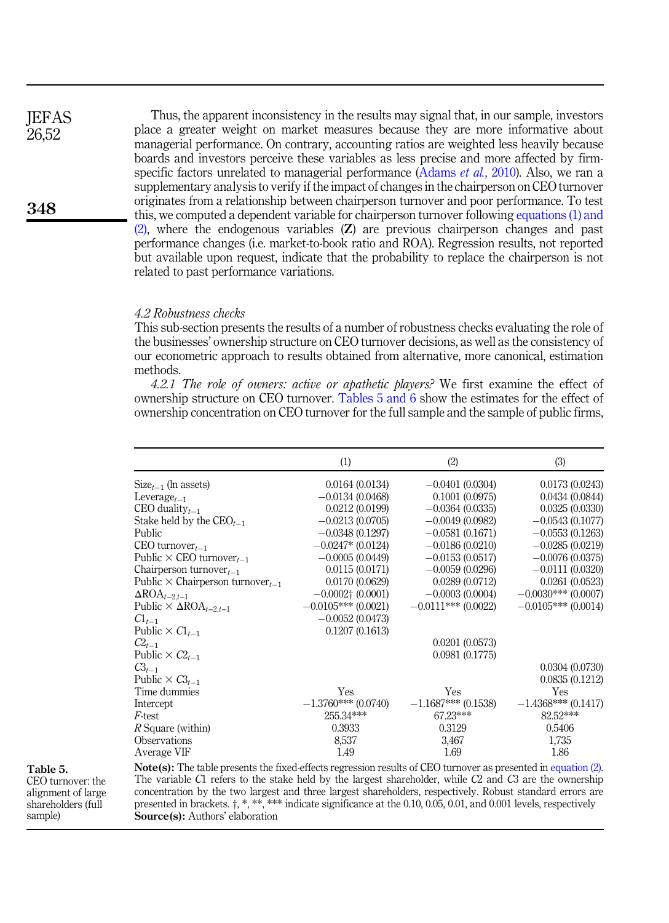<span id="page-15-1"></span>Thus, the apparent inconsistency in the results may signal that, in our sample, investors place a greater weight on market measures because they are more informative about managerial performance. On contrary, accounting ratios are weighted less heavily because boards and investors perceive these variables as less precise and more affected by firm-specific factors unrelated to managerial performance ([Adams](#page-20-1) *et al.*, 2010). Also, we ran a supplementary analysis to verify if the impact of changes in the chairperson on CEO turnover originates from a relationship between chairperson turnover and poor performance. To test this, we computed a dependent variable for chairperson turnover following [equations \(1\) and](#page-11-1) [\(2\)](#page-11-1), where the endogenous variables (Z) are previous chairperson changes and past performance changes (i.e. market-to-book ratio and ROA). Regression results, not reported but available upon request, indicate that the probability to replace the chairperson is not related to past performance variations. **IEFAS** 26,52

# <span id="page-15-0"></span>4.2 Robustness checks

This sub-section presents the results of a number of robustness checks evaluating the role of the businesses' ownership structure on CEO turnover decisions, as well as the consistency of our econometric approach to results obtained from alternative, more canonical, estimation methods.

4.2.1 The role of owners: active or apathetic players.<sup>2</sup> We first examine the effect of ownership structure on CEO turnover. Tables 5 and 6 show the estimates for the effect of ownership concentration on CEO turnover for the full sample and the sample of public firms,

|                                                     | (1)                      | (2)                   | (3)                   |
|-----------------------------------------------------|--------------------------|-----------------------|-----------------------|
| $Size_{t-1}$ (ln assets)                            | 0.0164(0.0134)           | $-0.0401(0.0304)$     | 0.0173(0.0243)        |
| Leverage <sub><math>t-1</math></sub>                | $-0.0134(0.0468)$        | 0.1001(0.0975)        | 0.0434(0.0844)        |
| CEO duality $_{t-1}$                                | 0.0212(0.0199)           | $-0.0364(0.0335)$     | 0.0325(0.0330)        |
| Stake held by the $CEO_{t-1}$                       | $-0.0213(0.0705)$        | $-0.0049(0.0982)$     | $-0.0543(0.1077)$     |
| Public                                              | $-0.0348(0.1297)$        | $-0.0581(0.1671)$     | $-0.0553(0.1263)$     |
| CEO turnover $_{t-1}$                               | $-0.0247*(0.0124)$       | $-0.0186(0.0210)$     | $-0.0285(0.0219)$     |
| Public $\times$ CEO turnover <sub>t-1</sub>         | $-0.0005(0.0449)$        | $-0.0153(0.0517)$     | $-0.0076(0.0375)$     |
| Chairperson turnover $_{t-1}$                       | 0.0115(0.0171)           | $-0.0059(0.0296)$     | $-0.0111(0.0320)$     |
| Public $\times$ Chairperson turnover <sub>t-1</sub> | 0.0170(0.0629)           | 0.0289(0.0712)        | 0.0261(0.0523)        |
| $\Delta \text{ROA}_{t-2,t-1}$                       | $-0.0002\dagger(0.0001)$ | $-0.0003(0.0004)$     | $-0.0030***$ (0.0007) |
| Public $\times$ $\Delta ROA_{t-2,t-1}$              | $-0.0105***(0.0021)$     | $-0.0111***(0.0022)$  | $-0.0105***$ (0.0014) |
| $Cl_{t-1}$                                          | $-0.0052(0.0473)$        |                       |                       |
| Public $\times$ $Cl_{t-1}$                          | 0.1207(0.1613)           |                       |                       |
| $C_{t-1}$                                           |                          | 0.0201(0.0573)        |                       |
| Public $\times C2_{t-1}$                            |                          | 0.0981(0.1775)        |                       |
| $C_{t-1}$                                           |                          |                       | 0.0304(0.0730)        |
| Public $\times C3_{t-1}$                            |                          |                       | 0.0835(0.1212)        |
| Time dummies                                        | Yes                      | Yes                   | Yes                   |
| Intercept                                           | $-1.3760***(0.0740)$     | $-1.1687***$ (0.1538) | $-1.4368***(0.1417)$  |
| <i>F</i> -test                                      | 255.34***                | 67.23***              | 82.52***              |
| R Square (within)                                   | 0.3933                   | 0.3129                | 0.5406                |
| Observations                                        | 8,537                    | 3,467                 | 1,735                 |
| Average VIF                                         | 1.49                     | 1.69                  | 1.86                  |

Table 5.

CEO turnover: the alignment of large shareholders (full sample)

Note(s): The table presents the fixed-effects regression results of CEO turnover as presented in [equation \(2\)](#page-11-0). The variable C1 refers to the stake held by the largest shareholder, while C2 and C3 are the ownership concentration by the two largest and three largest shareholders, respectively. Robust standard errors are presented in brackets.  $\ddot{\text{t}}, *$ , \*\*\* indicate significance at the 0.10, 0.05, 0.01, and 0.001 levels, respectively Source(s): Authors' elaboration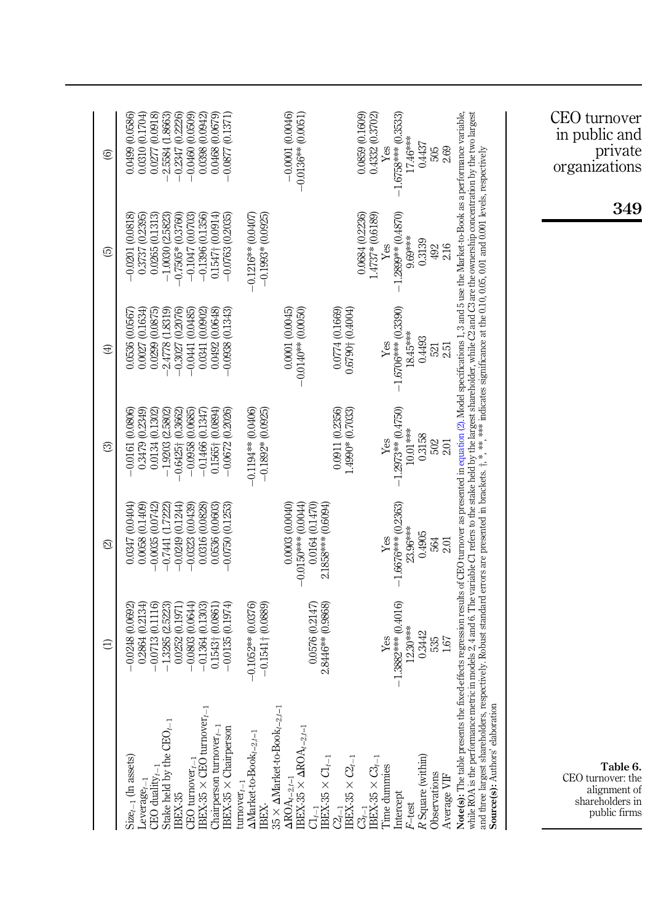<span id="page-16-0"></span>

|                                                                                                                                                                                                                                                                                                                                                                                                                                         | а                                                                                                     | ⊴                                                                                                 | ල                                                                                                    | ⊕                                                                                                         | ල                                                                                                  | ම                                                                                             |
|-----------------------------------------------------------------------------------------------------------------------------------------------------------------------------------------------------------------------------------------------------------------------------------------------------------------------------------------------------------------------------------------------------------------------------------------|-------------------------------------------------------------------------------------------------------|---------------------------------------------------------------------------------------------------|------------------------------------------------------------------------------------------------------|-----------------------------------------------------------------------------------------------------------|----------------------------------------------------------------------------------------------------|-----------------------------------------------------------------------------------------------|
| Stake held by the $CEO_{t-1}$<br>$Size_{t-1}$ (In assets)<br>CEO duality $_{t-1}$<br>$L$ everage $_{t-}$<br>IBEX-35                                                                                                                                                                                                                                                                                                                     | $-0.0713(0.1116)$<br>0.2864 (0.2134)<br>$-1.3285$ $(2.5223)$<br>0.0252 (0.1971)<br>$-0.0248$ (0.0692) | 0.0347 (0.0404)<br>$-0.0249(0.1244)$<br>0.0058 (0.1409)<br>$-0.0035(0.0742)$<br>$-0.7441(1.7222)$ | 0.3479 (0.2349)<br>0.0134 (0.1302)<br>$-0.0161(0.0806)$<br>$-1.9203(2.5802)$<br>$-0.6425 + (0.3662)$ | (1.8319)<br>(0.2076)<br>(0.1634)<br>0.0299 (0.0875)<br>0.0536 (0.0567<br>$-2.4778$<br>0.0027<br>$-0.3027$ | $-0.0201(0.0818)$<br>0.3737 (0.2395)<br>0.0265 (0.1313)<br>$-0.7505*(0.3760)$<br>$-1.0030(2.5823)$ | 0.0277 (0.0918)<br>0.0499 (0.0586)<br>0.0310 (0.1704)<br>2.5584 (1.8663)<br>$-0.2347(0.2226)$ |
| $\text{IBEX-35} \times \text{CEO turnover}_{t-}$<br>Chairperson turnover $_{t-1}$<br>IBEX-35 × Chairperson<br>CEO turnover $_{t-1}$                                                                                                                                                                                                                                                                                                     | (0.1974)<br>$-0.0803(0.0644)$<br>$-0.1364(0.1303)$<br>0.1543+ (0.0861)<br>$-0.0135$                   | $-0.0323(0.0439)$<br>0.0316 (0.0828)<br>0.0536 (0.0603)<br>$-0.0750(0.1253)$                      | $0.1565 + (0.0894)$<br>$-0.0672(0.2026)$<br>$-0.1466(0.1347)$<br>$-0.0958(0.0685)$                   | (0.0485)<br>(0.0902)<br>(0.0648)<br>$-0.0938$ $(0.1343)$<br>0.0492<br>$-0.0441$<br>0.0341                 | $-0.1396(0.1356)$<br>$0.1547\pm(0.0914)$<br>$-0.1047(0.0703)$<br>$-0.0763(0.2035)$                 | $-0.0460(0.0509)$<br>0.0468 (0.0679)<br>0.0398 (0.0942)<br>$-0.0877(0.1371)$                  |
| $35 \times \Delta \text{Market-to-Book}_{t-2,t-1}$<br>$\Delta\text{Market-to-Book}_{t-2,t-1}$<br>turnover $_{t-1}$<br><b>IBEX-</b>                                                                                                                                                                                                                                                                                                      | $-0.1052**$ (0.0376)<br>$-0.1541 + (0.0889)$                                                          |                                                                                                   | $-0.1194**$ (0.0406)<br>$-0.1892*00.0925$                                                            |                                                                                                           | $-0.1216**0.0407$<br>$-0.1993*(0.0925)$                                                            |                                                                                               |
| $\begin{array}{l}\Delta\text{ROA}_{t-2,t-1} \\\text{IBEX-35}\times\Delta\text{ROA}_{t-2,t-1}\end{array}$<br>$\frac{C l_{r-1}}{\rm BEX\text{-}35} \times C l_{r-1}$                                                                                                                                                                                                                                                                      | 2.8446** (0.9868)<br>0.0576 (0.2147)                                                                  | 0.0164 (0.1470)<br>$-0.0150***00.0044$<br>2.1858*** (0.6094)<br>0.0003 (0.0040)                   |                                                                                                      | 0.0001(0.0045)<br>$-0.0140**$ (0.0050)                                                                    |                                                                                                    | $-0.0001(0.0046)$<br>$-0.0136**$ (0.0051)                                                     |
| $\frac{C2_{t-1}}{\text{BEX-35}} \times C2_{t-1}$                                                                                                                                                                                                                                                                                                                                                                                        |                                                                                                       |                                                                                                   | 0.0911 (0.2356)<br>1.4990* (0.7033)                                                                  | 0.0774 (0.1669)<br>0.6790† (0.4004)                                                                       | 0.0684 (0.2236)                                                                                    | 0.0859(0.1609)                                                                                |
| $\mathbb{G}_{t-1}$ $\text{BEX-35} \times \mathbb{G}_{t-1}$<br>Time dummies<br>Intercept<br>F-test                                                                                                                                                                                                                                                                                                                                       | $-1.3882***$ (0.4016)<br>$12.30***$<br>Yes                                                            | $-1.6676***$ (0.2363)<br>23.96***<br>Yes                                                          | $-1.2973**$ $(0.4750)$<br>10.01***<br>Yes                                                            | $-1.6706***$ (0.3390)<br>$18.45***$<br>$Y$ es                                                             | $-1.2899**0.4870$<br>$1.4737*(0.6189)$<br>9.69***<br>Yes                                           | $-1.6758***$ (0.3533)<br>0.4332 (0.3702)<br>17.46***<br>Ýes                                   |
| R Square (within)<br>Observations<br>Average VIF                                                                                                                                                                                                                                                                                                                                                                                        | 0.3442<br>535<br>1.67                                                                                 | 0.4905<br>564<br>2.01                                                                             | 0.3158<br>502<br>2.01                                                                                | 0.4493<br>2.51<br>521                                                                                     | 0.3139<br>216<br>492                                                                               | 0.4437<br>2.69<br>505                                                                         |
| Note(s): The table presents the fixed-effects regression results of CEO turnover as presented in equation (2). Model specifications 1, 3 and 5 use the Market-to-Book as a performance variable,<br>while ROA is the performance metric in models 2,4 and 6. The variable C1 refers to the stake held by the largest shareholder, while C2 and C3 are the ownership concentration by the two largest<br>Source(s): Authors' elaboration |                                                                                                       |                                                                                                   |                                                                                                      |                                                                                                           |                                                                                                    |                                                                                               |
|                                                                                                                                                                                                                                                                                                                                                                                                                                         |                                                                                                       |                                                                                                   |                                                                                                      |                                                                                                           |                                                                                                    |                                                                                               |
| Table 6.<br>CEO turnover: the<br>alignment of<br>shareholders in<br>public firms                                                                                                                                                                                                                                                                                                                                                        |                                                                                                       |                                                                                                   |                                                                                                      |                                                                                                           | 349                                                                                                | CEO turnover<br>in public and<br>private<br>organizations                                     |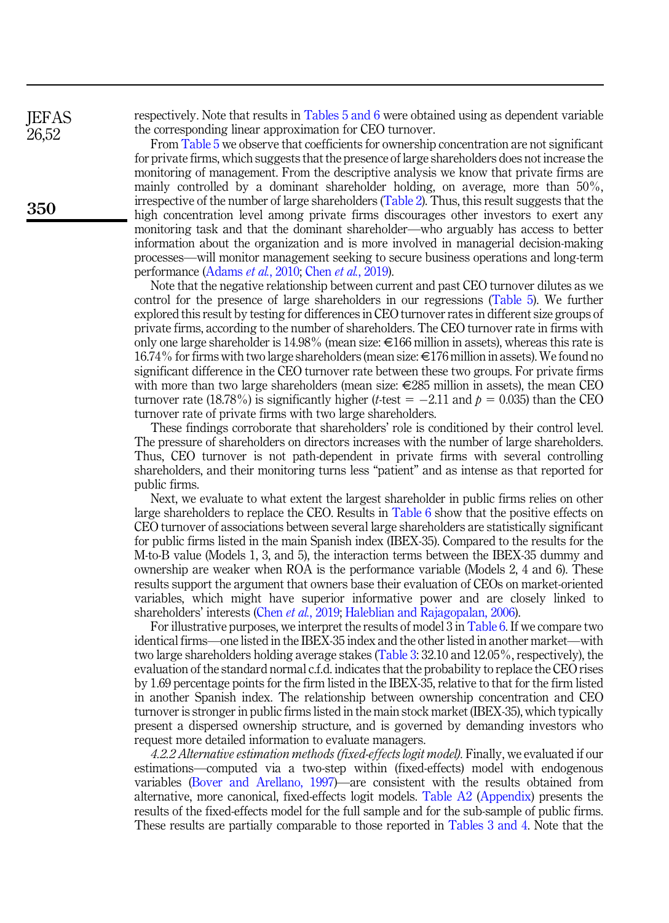respectively. Note that results in [Tables 5 and 6](#page-15-1) were obtained using as dependent variable the corresponding linear approximation for CEO turnover.

From [Table 5](#page-15-1) we observe that coefficients for ownership concentration are not significant for private firms, which suggests that the presence of large shareholders does not increase the monitoring of management. From the descriptive analysis we know that private firms are mainly controlled by a dominant shareholder holding, on average, more than 50%, irrespective of the number of large shareholders ([Table 2](#page-8-0)). Thus, this result suggests that the high concentration level among private firms discourages other investors to exert any monitoring task and that the dominant shareholder—who arguably has access to better information about the organization and is more involved in managerial decision-making processes—will monitor management seeking to secure business operations and long-term performance ([Adams](#page-20-1) et al., 2010; Chen et al.[, 2019](#page-21-0)).

Note that the negative relationship between current and past CEO turnover dilutes as we control for the presence of large shareholders in our regressions ([Table 5](#page-15-1)). We further explored this result by testing for differences in CEO turnover rates in different size groups of private firms, according to the number of shareholders. The CEO turnover rate in firms with only one large shareholder is 14.98% (mean size:  $\epsilon$ 166 million in assets), whereas this rate is 16.74% for firms with two large shareholders (mean size:  $\epsilon$ 176 million in assets). We found no significant difference in the CEO turnover rate between these two groups. For private firms with more than two large shareholders (mean size:  $\epsilon$ 285 million in assets), the mean CEO turnover rate (18.78%) is significantly higher (*t*-test =  $-2.11$  and  $p = 0.035$ ) than the CEO turnover rate of private firms with two large shareholders.

These findings corroborate that shareholders' role is conditioned by their control level. The pressure of shareholders on directors increases with the number of large shareholders. Thus, CEO turnover is not path-dependent in private firms with several controlling shareholders, and their monitoring turns less "patient" and as intense as that reported for public firms.

Next, we evaluate to what extent the largest shareholder in public firms relies on other large shareholders to replace the CEO. Results in [Table 6](#page-16-0) show that the positive effects on CEO turnover of associations between several large shareholders are statistically significant for public firms listed in the main Spanish index (IBEX-35). Compared to the results for the M-to-B value (Models 1, 3, and 5), the interaction terms between the IBEX-35 dummy and ownership are weaker when ROA is the performance variable (Models 2, 4 and 6). These results support the argument that owners base their evaluation of CEOs on market-oriented variables, which might have superior informative power and are closely linked to shareholders' interests (Chen et al.[, 2019;](#page-21-0) [Haleblian and Rajagopalan, 2006\)](#page-21-20).

For illustrative purposes, we interpret the results of model 3 in [Table 6.](#page-16-0) If we compare two identical firms—one listed in the IBEX-35 index and the other listed in another market—with two large shareholders holding average stakes ([Table 3](#page-9-0): 32.10 and 12.05%, respectively), the evaluation of the standard normal c.f.d. indicates that the probability to replace the CEO rises by 1.69 percentage points for the firm listed in the IBEX-35, relative to that for the firm listed in another Spanish index. The relationship between ownership concentration and CEO turnover is stronger in public firms listed in the main stock market (IBEX-35), which typically present a dispersed ownership structure, and is governed by demanding investors who request more detailed information to evaluate managers.

4.2.2 Alternative estimation methods (fixed-effects logit model). Finally, we evaluated if our estimations—computed via a two-step within (fixed-effects) model with endogenous variables ([Bover and Arellano, 1997](#page-20-4))—are consistent with the results obtained from alternative, more canonical, fixed-effects logit models. [Table A2](#page-24-0) [\(Appendix\)](#page-23-1) presents the results of the fixed-effects model for the full sample and for the sub-sample of public firms. These results are partially comparable to those reported in [Tables 3 and 4](#page-9-0). Note that the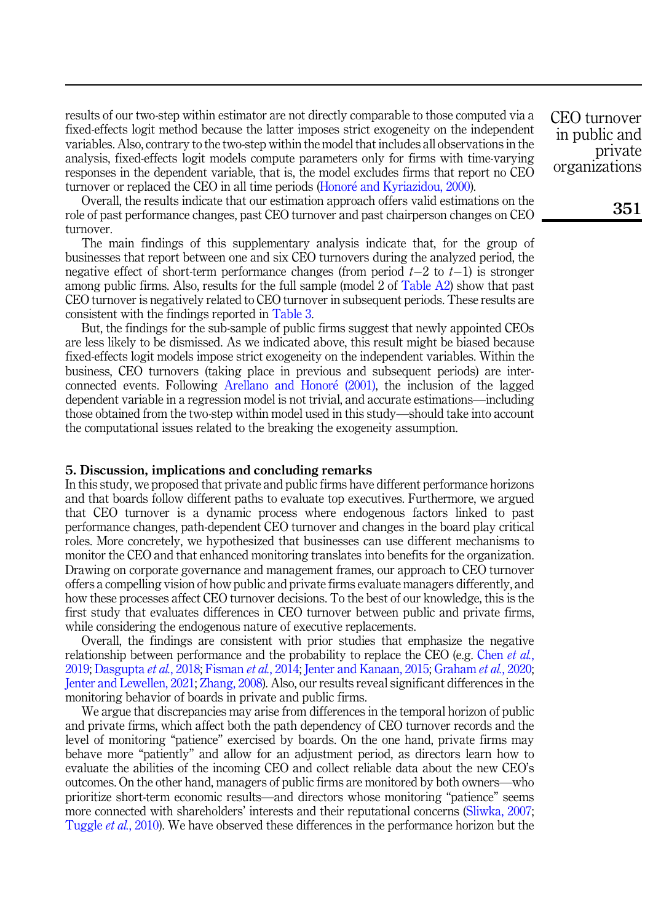results of our two-step within estimator are not directly comparable to those computed via a fixed-effects logit method because the latter imposes strict exogeneity on the independent variables. Also, contrary to the two-step within the model that includes all observations in the analysis, fixed-effects logit models compute parameters only for firms with time-varying responses in the dependent variable, that is, the model excludes firms that report no CEO turnover or replaced the CEO in all time periods ([Honor](#page-22-17)[e and Kyriazidou, 2000\)](#page-22-17).

Overall, the results indicate that our estimation approach offers valid estimations on the role of past performance changes, past CEO turnover and past chairperson changes on CEO turnover.

The main findings of this supplementary analysis indicate that, for the group of businesses that report between one and six CEO turnovers during the analyzed period, the negative effect of short-term performance changes (from period  $t-2$  to  $t-1$ ) is stronger among public firms. Also, results for the full sample (model 2 of [Table A2\)](#page-24-0) show that past CEO turnover is negatively related to CEO turnover in subsequent periods. These results are consistent with the findings reported in [Table 3.](#page-9-0)

But, the findings for the sub-sample of public firms suggest that newly appointed CEOs are less likely to be dismissed. As we indicated above, this result might be biased because fixed-effects logit models impose strict exogeneity on the independent variables. Within the business, CEO turnovers (taking place in previous and subsequent periods) are interconnected events. Following [Arellano and Honor](#page-20-9)e [\(2001\),](#page-20-9) the inclusion of the lagged dependent variable in a regression model is not trivial, and accurate estimations—including those obtained from the two-step within model used in this study—should take into account the computational issues related to the breaking the exogeneity assumption.

## 5. Discussion, implications and concluding remarks

In this study, we proposed that private and public firms have different performance horizons and that boards follow different paths to evaluate top executives. Furthermore, we argued that CEO turnover is a dynamic process where endogenous factors linked to past performance changes, path-dependent CEO turnover and changes in the board play critical roles. More concretely, we hypothesized that businesses can use different mechanisms to monitor the CEO and that enhanced monitoring translates into benefits for the organization. Drawing on corporate governance and management frames, our approach to CEO turnover offers a compelling vision of how public and private firms evaluate managers differently, and how these processes affect CEO turnover decisions. To the best of our knowledge, this is the first study that evaluates differences in CEO turnover between public and private firms, while considering the endogenous nature of executive replacements.

Overall, the findings are consistent with prior studies that emphasize the negative relationship between performance and the probability to replace the CEO (e.g. [Chen](#page-21-0) *et al.*, [2019;](#page-21-0) [Dasgupta](#page-21-2) et al., 2018; [Fisman](#page-21-10) et al., 2014; [Jenter and Kanaan, 2015;](#page-22-1) [Graham](#page-21-6) et al., 2020; [Jenter and Lewellen, 2021;](#page-22-2) [Zhang, 2008](#page-22-5)). Also, our results reveal significant differences in the monitoring behavior of boards in private and public firms.

We argue that discrepancies may arise from differences in the temporal horizon of public and private firms, which affect both the path dependency of CEO turnover records and the level of monitoring "patience" exercised by boards. On the one hand, private firms may behave more "patiently" and allow for an adjustment period, as directors learn how to evaluate the abilities of the incoming CEO and collect reliable data about the new CEO's outcomes. On the other hand, managers of public firms are monitored by both owners—who prioritize short-term economic results—and directors whose monitoring "patience" seems more connected with shareholders' interests and their reputational concerns ([Sliwka, 2007](#page-22-11); [Tuggle](#page-22-6) et al., 2010). We have observed these differences in the performance horizon but the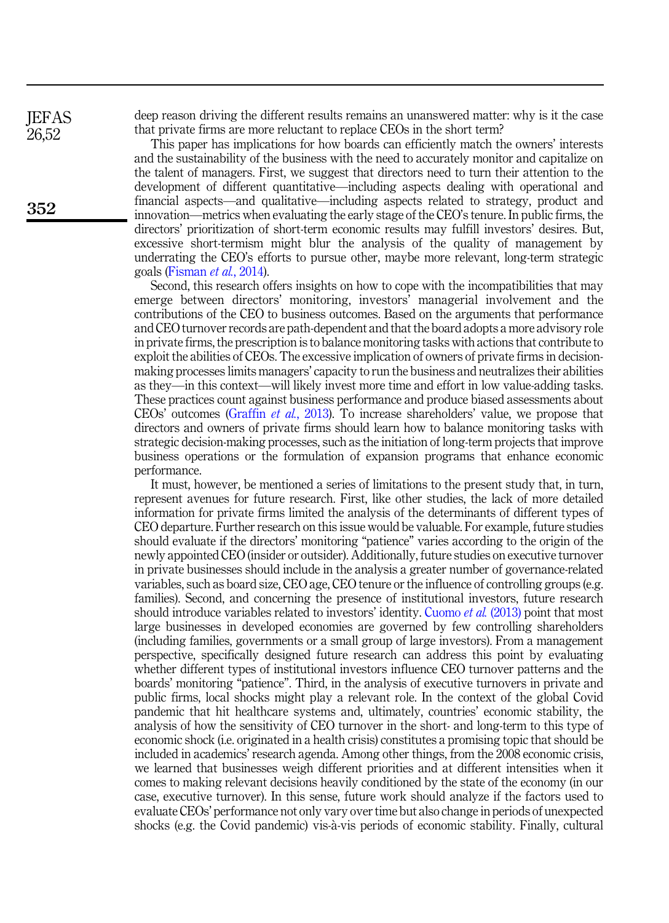deep reason driving the different results remains an unanswered matter: why is it the case that private firms are more reluctant to replace CEOs in the short term?

This paper has implications for how boards can efficiently match the owners' interests and the sustainability of the business with the need to accurately monitor and capitalize on the talent of managers. First, we suggest that directors need to turn their attention to the development of different quantitative—including aspects dealing with operational and financial aspects—and qualitative—including aspects related to strategy, product and innovation—metrics when evaluating the early stage of the CEO's tenure. In public firms, the directors' prioritization of short-term economic results may fulfill investors' desires. But, excessive short-termism might blur the analysis of the quality of management by underrating the CEO's efforts to pursue other, maybe more relevant, long-term strategic goals [\(Fisman](#page-21-10) et al., 2014).

Second, this research offers insights on how to cope with the incompatibilities that may emerge between directors' monitoring, investors' managerial involvement and the contributions of the CEO to business outcomes. Based on the arguments that performance and CEO turnover records are path-dependent and that the board adopts a more advisory role in private firms, the prescription is to balance monitoring tasks with actions that contribute to exploit the abilities of CEOs. The excessive implication of owners of private firms in decisionmaking processes limits managers' capacity to run the business and neutralizes their abilities as they—in this context—will likely invest more time and effort in low value-adding tasks. These practices count against business performance and produce biased assessments about CEOs' outcomes ([Graffin](#page-21-13) et al., 2013). To increase shareholders' value, we propose that directors and owners of private firms should learn how to balance monitoring tasks with strategic decision-making processes, such as the initiation of long-term projects that improve business operations or the formulation of expansion programs that enhance economic performance.

It must, however, be mentioned a series of limitations to the present study that, in turn, represent avenues for future research. First, like other studies, the lack of more detailed information for private firms limited the analysis of the determinants of different types of CEO departure. Further research on this issue would be valuable. For example, future studies should evaluate if the directors' monitoring "patience" varies according to the origin of the newly appointed CEO (insider or outsider). Additionally, future studies on executive turnover in private businesses should include in the analysis a greater number of governance-related variables, such as board size, CEO age, CEO tenure or the influence of controlling groups (e.g. families). Second, and concerning the presence of institutional investors, future research should introduce variables related to investors' identity. [Cuomo](#page-21-12) *et al.* (2013) point that most large businesses in developed economies are governed by few controlling shareholders (including families, governments or a small group of large investors). From a management perspective, specifically designed future research can address this point by evaluating whether different types of institutional investors influence CEO turnover patterns and the boards' monitoring "patience". Third, in the analysis of executive turnovers in private and public firms, local shocks might play a relevant role. In the context of the global Covid pandemic that hit healthcare systems and, ultimately, countries' economic stability, the analysis of how the sensitivity of CEO turnover in the short- and long-term to this type of economic shock (i.e. originated in a health crisis) constitutes a promising topic that should be included in academics' research agenda. Among other things, from the 2008 economic crisis, we learned that businesses weigh different priorities and at different intensities when it comes to making relevant decisions heavily conditioned by the state of the economy (in our case, executive turnover). In this sense, future work should analyze if the factors used to evaluate CEOs' performance not only vary over time but also change in periods of unexpected shocks (e.g. the Covid pandemic) vis-a-vis periods of economic stability. Finally, cultural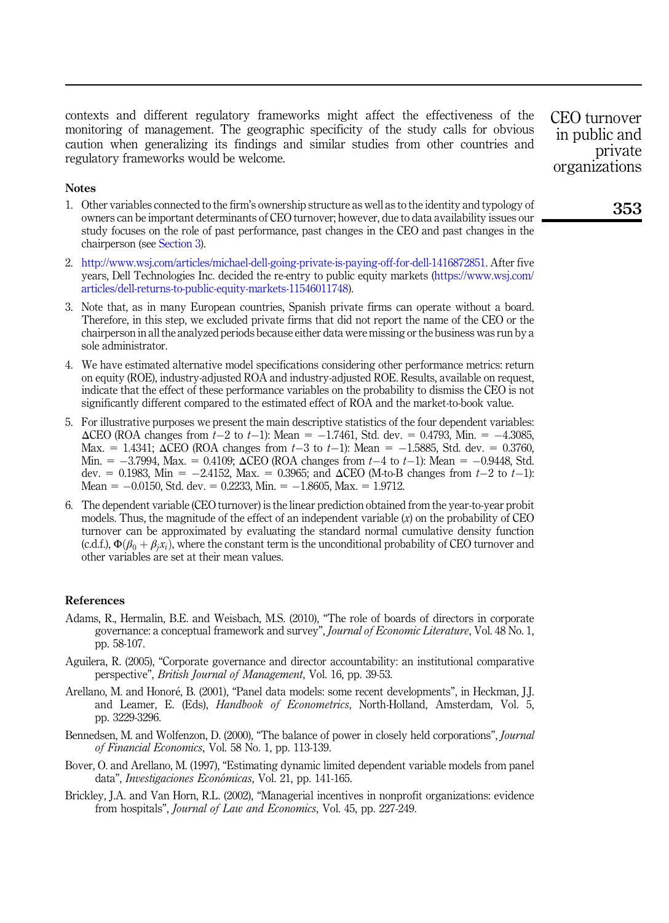contexts and different regulatory frameworks might affect the effectiveness of the monitoring of management. The geographic specificity of the study calls for obvious caution when generalizing its findings and similar studies from other countries and regulatory frameworks would be welcome.

### **Notes**

- <span id="page-20-0"></span>1. Other variables connected to the firm's ownership structure as well as to the identity and typology of owners can be important determinants of CEO turnover; however, due to data availability issues our study focuses on the role of past performance, past changes in the CEO and past changes in the chairperson (see [Section 3](#page-6-1)).
- <span id="page-20-2"></span>2. <http://www.wsj.com/articles/michael-dell-going-private-is-paying-off-for-dell-1416872851>. After five years, Dell Technologies Inc. decided the re-entry to public equity markets [\(https://www.wsj.com/](https://www.wsj.com/articles/dell-returns-to-public-equity-markets-11546011748) [articles/dell-returns-to-public-equity-markets-11546011748](https://www.wsj.com/articles/dell-returns-to-public-equity-markets-11546011748)).
- <span id="page-20-7"></span>3. Note that, as in many European countries, Spanish private firms can operate without a board. Therefore, in this step, we excluded private firms that did not report the name of the CEO or the chairperson in all the analyzed periods because either data were missing or the business was run by a sole administrator.
- <span id="page-20-8"></span>4. We have estimated alternative model specifications considering other performance metrics: return on equity (ROE), industry-adjusted ROA and industry-adjusted ROE. Results, available on request, indicate that the effect of these performance variables on the probability to dismiss the CEO is not significantly different compared to the estimated effect of ROA and the market-to-book value.
- <span id="page-20-10"></span>5. For illustrative purposes we present the main descriptive statistics of the four dependent variables:  $\triangle$ CEO (ROA changes from  $t-2$  to  $t-1$ ): Mean = -1.7461, Std. dev. = 0.4793, Min. = -4.3085, Max. = 1.4341;  $\triangle$ CEO (ROA changes from t-3 to t-1): Mean = -1.5885, Std. dev. = 0.3760, Min.  $= -3.7994$ , Max.  $= 0.4109$ ;  $\Delta$ CEO (ROA changes from  $t-4$  to  $t-1$ ); Mean  $= -0.9448$ , Std. dev. = 0.1983, Min =  $-2.4152$ , Max. = 0.3965; and  $\Delta$ CEO (M-to-B changes from t-2 to t-1): Mean =  $-0.0150$ , Std. dev. = 0.2233, Min. =  $-1.8605$ , Max. = 1.9712.
- <span id="page-20-11"></span>6. The dependent variable (CEO turnover) is the linear prediction obtained from the year-to-year probit models. Thus, the magnitude of the effect of an independent variable  $(x)$  on the probability of CEO turnover can be approximated by evaluating the standard normal cumulative density function (c.d.f.),  $\Phi(\beta_0 + \beta_i x_i)$ , where the constant term is the unconditional probability of CEO turnover and other variables are set at their mean values.

# References

- <span id="page-20-1"></span>Adams, R., Hermalin, B.E. and Weisbach, M.S. (2010), "The role of boards of directors in corporate governance: a conceptual framework and survey", Journal of Economic Literature, Vol. 48 No. 1, pp. 58-107.
- <span id="page-20-3"></span>Aguilera, R. (2005), "Corporate governance and director accountability: an institutional comparative perspective", British Journal of Management, Vol. 16, pp. 39-53.
- <span id="page-20-9"></span>Arellano, M. and Honore, B. (2001), "Panel data models: some recent developments", in Heckman, J.J. and Leamer, E. (Eds), Handbook of Econometrics, North-Holland, Amsterdam, Vol. 5, pp. 3229-3296.
- <span id="page-20-5"></span>Bennedsen, M. and Wolfenzon, D. (2000), "The balance of power in closely held corporations", *Journal* of Financial Economics, Vol. 58 No. 1, pp. 113-139.
- <span id="page-20-4"></span>Bover, O. and Arellano, M. (1997), "Estimating dynamic limited dependent variable models from panel data", Investigaciones Económicas, Vol. 21, pp. 141-165.
- <span id="page-20-6"></span>Brickley, J.A. and Van Horn, R.L. (2002), "Managerial incentives in nonprofit organizations: evidence from hospitals", Journal of Law and Economics, Vol. 45, pp. 227-249.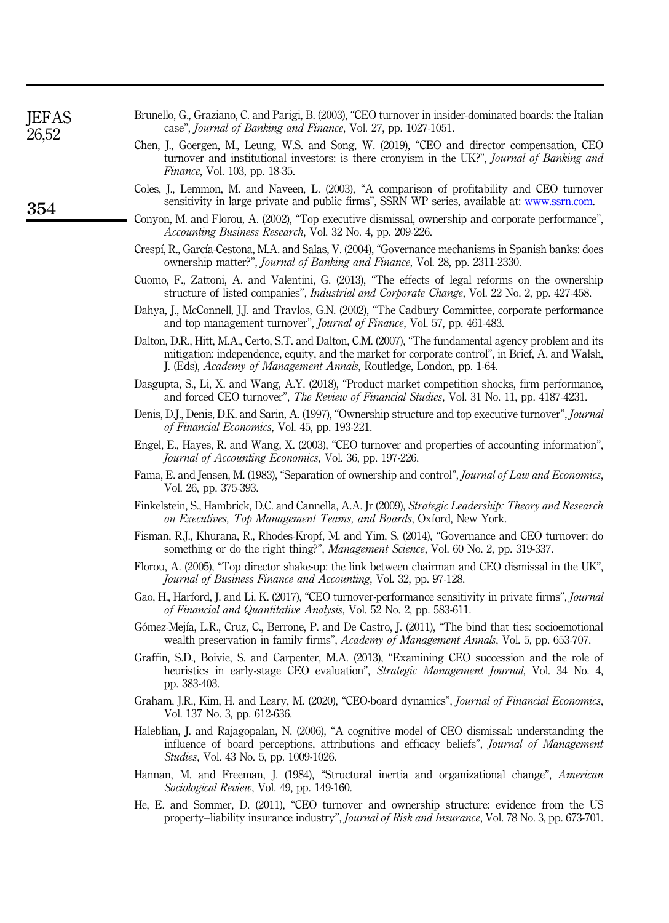<span id="page-21-17"></span>

|                                                                        | Brunello, G., Graziano, C. and Parigi, B. (2003), "CEO turnover in insider-dominated boards: the Italian |
|------------------------------------------------------------------------|----------------------------------------------------------------------------------------------------------|
| case", <i>Journal of Banking and Finance</i> , Vol. 27, pp. 1027-1051. |                                                                                                          |

- <span id="page-21-0"></span>Chen, J., Goergen, M., Leung, W.S. and Song, W. (2019), "CEO and director compensation, CEO turnover and institutional investors: is there cronyism in the UK?", Journal of Banking and Finance, Vol. 103, pp. 18-35.
- <span id="page-21-3"></span>Coles, J., Lemmon, M. and Naveen, L. (2003), "A comparison of profitability and CEO turnover sensitivity in large private and public firms", SSRN WP series, available at: [www.ssrn.com](http://www.ssrn.com).
- <span id="page-21-14"></span>Conyon, M. and Florou, A. (2002), "Top executive dismissal, ownership and corporate performance", Accounting Business Research, Vol. 32 No. 4, pp. 209-226.
- <span id="page-21-18"></span>Crespı, R., Garcıa-Cestona, M.A. and Salas, V. (2004), "Governance mechanisms in Spanish banks: does ownership matter?", Journal of Banking and Finance, Vol. 28, pp. 2311-2330.
- <span id="page-21-12"></span>Cuomo, F., Zattoni, A. and Valentini, G. (2013), "The effects of legal reforms on the ownership structure of listed companies", *Industrial and Corporate Change*, Vol. 22 No. 2, pp. 427-458.
- <span id="page-21-15"></span>Dahya, J., McConnell, J.J. and Travlos, G.N. (2002), "The Cadbury Committee, corporate performance and top management turnover", Journal of Finance, Vol. 57, pp. 461-483.
- <span id="page-21-1"></span>Dalton, D.R., Hitt, M.A., Certo, S.T. and Dalton, C.M. (2007), "The fundamental agency problem and its mitigation: independence, equity, and the market for corporate control", in Brief, A. and Walsh, J. (Eds), Academy of Management Annals, Routledge, London, pp. 1-64.
- <span id="page-21-2"></span>Dasgupta, S., Li, X. and Wang, A.Y. (2018), "Product market competition shocks, firm performance, and forced CEO turnover", The Review of Financial Studies, Vol. 31 No. 11, pp. 4187-4231.
- <span id="page-21-7"></span>Denis, D.J., Denis, D.K. and Sarin, A. (1997), "Ownership structure and top executive turnover", *Journal* of Financial Economics, Vol. 45, pp. 193-221.
- <span id="page-21-21"></span>Engel, E., Hayes, R. and Wang, X. (2003), "CEO turnover and properties of accounting information", Journal of Accounting Economics, Vol. 36, pp. 197-226.
- <span id="page-21-11"></span>Fama, E. and Jensen, M. (1983), "Separation of ownership and control", Journal of Law and Economics, Vol. 26, pp. 375-393.
- <span id="page-21-8"></span>Finkelstein, S., Hambrick, D.C. and Cannella, A.A. Jr (2009), Strategic Leadership: Theory and Research on Executives, Top Management Teams, and Boards, Oxford, New York.
- <span id="page-21-10"></span>Fisman, R.J., Khurana, R., Rhodes-Kropf, M. and Yim, S. (2014), "Governance and CEO turnover: do something or do the right thing?", *Management Science*, Vol. 60 No. 2, pp. 319-337.
- <span id="page-21-16"></span>Florou, A. (2005), "Top director shake-up: the link between chairman and CEO dismissal in the UK", Journal of Business Finance and Accounting, Vol. 32, pp. 97-128.
- <span id="page-21-4"></span>Gao, H., Harford, J. and Li, K. (2017), "CEO turnover-performance sensitivity in private firms", Journal of Financial and Quantitative Analysis, Vol. 52 No. 2, pp. 583-611.
- <span id="page-21-9"></span>Gómez-Mejía, L.R., Cruz, C., Berrone, P. and De Castro, J. (2011), "The bind that ties: socioemotional wealth preservation in family firms", Academy of Management Annals, Vol. 5, pp. 653-707.
- <span id="page-21-13"></span>Graffin, S.D., Boivie, S. and Carpenter, M.A. (2013), "Examining CEO succession and the role of heuristics in early-stage CEO evaluation", Strategic Management Journal, Vol. 34 No. 4, pp. 383-403.
- <span id="page-21-6"></span>Graham, J.R., Kim, H. and Leary, M. (2020), "CEO-board dynamics", Journal of Financial Economics, Vol. 137 No. 3, pp. 612-636.
- <span id="page-21-20"></span>Haleblian, J. and Rajagopalan, N. (2006), "A cognitive model of CEO dismissal: understanding the influence of board perceptions, attributions and efficacy beliefs", Journal of Management Studies, Vol. 43 No. 5, pp. 1009-1026.
- <span id="page-21-19"></span>Hannan, M. and Freeman, J. (1984), "Structural inertia and organizational change", American Sociological Review, Vol. 49, pp. 149-160.
- <span id="page-21-5"></span>He, E. and Sommer, D. (2011), "CEO turnover and ownership structure: evidence from the US property–liability insurance industry", Journal of Risk and Insurance, Vol. 78 No. 3, pp. 673-701.

**JEFAS** 26,52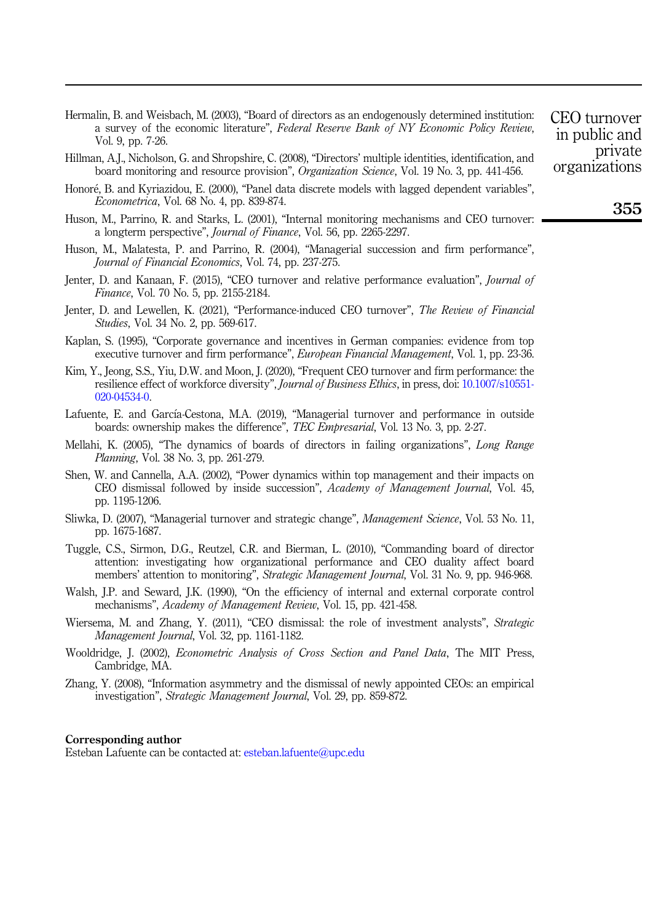<span id="page-22-0"></span>Hermalin, B. and Weisbach, M. (2003), "Board of directors as an endogenously determined institution: a survey of the economic literature", Federal Reserve Bank of NY Economic Policy Review, Vol. 9, pp. 7-26.

- <span id="page-22-13"></span>Hillman, A.J., Nicholson, G. and Shropshire, C. (2008), "Directors' multiple identities, identification, and board monitoring and resource provision", Organization Science, Vol. 19 No. 3, pp. 441-456.
- <span id="page-22-17"></span>Honoré, B. and Kyriazidou, E. (2000), "Panel data discrete models with lagged dependent variables", Econometrica, Vol. 68 No. 4, pp. 839-874.
- <span id="page-22-4"></span>Huson, M., Parrino, R. and Starks, L. (2001), "Internal monitoring mechanisms and CEO turnover: a longterm perspective", Journal of Finance, Vol. 56, pp. 2265-2297.
- <span id="page-22-15"></span>Huson, M., Malatesta, P. and Parrino, R. (2004), "Managerial succession and firm performance", Journal of Financial Economics, Vol. 74, pp. 237-275.
- <span id="page-22-1"></span>Jenter, D. and Kanaan, F. (2015), "CEO turnover and relative performance evaluation", Journal of Finance, Vol. 70 No. 5, pp. 2155-2184.
- <span id="page-22-2"></span>Jenter, D. and Lewellen, K. (2021), "Performance-induced CEO turnover", The Review of Financial Studies, Vol. 34 No. 2, pp. 569-617.
- <span id="page-22-8"></span>Kaplan, S. (1995), "Corporate governance and incentives in German companies: evidence from top executive turnover and firm performance", *European Financial Management*, Vol. 1, pp. 23-36.
- <span id="page-22-3"></span>Kim, Y., Jeong, S.S., Yiu, D.W. and Moon, J. (2020), "Frequent CEO turnover and firm performance: the resilience effect of workforce diversity", Journal of Business Ethics, in press, doi: [10.1007/s10551-](https://doi.org/10.1007/s10551-020-04534-0) [020-04534-0](https://doi.org/10.1007/s10551-020-04534-0).
- <span id="page-22-9"></span>Lafuente, E. and García-Cestona, M.A. (2019), "Managerial turnover and performance in outside boards: ownership makes the difference", TEC Empresarial, Vol. 13 No. 3, pp. 2-27.
- <span id="page-22-14"></span>Mellahi, K. (2005), "The dynamics of boards of directors in failing organizations", Long Range Planning, Vol. 38 No. 3, pp. 261-279.
- <span id="page-22-12"></span>Shen, W. and Cannella, A.A. (2002), "Power dynamics within top management and their impacts on CEO dismissal followed by inside succession", Academy of Management Journal, Vol. 45, pp. 1195-1206.
- <span id="page-22-11"></span>Sliwka, D. (2007), "Managerial turnover and strategic change", Management Science, Vol. 53 No. 11, pp. 1675-1687.
- <span id="page-22-6"></span>Tuggle, C.S., Sirmon, D.G., Reutzel, C.R. and Bierman, L. (2010), "Commanding board of director attention: investigating how organizational performance and CEO duality affect board members' attention to monitoring", *Strategic Management Journal*, Vol. 31 No. 9, pp. 946-968.
- <span id="page-22-10"></span>Walsh, J.P. and Seward, J.K. (1990), "On the efficiency of internal and external corporate control mechanisms", Academy of Management Review, Vol. 15, pp. 421-458.
- <span id="page-22-7"></span>Wiersema, M. and Zhang, Y. (2011), "CEO dismissal: the role of investment analysts", Strategic Management Journal, Vol. 32, pp. 1161-1182.
- <span id="page-22-16"></span>Wooldridge, J. (2002), Econometric Analysis of Cross Section and Panel Data, The MIT Press, Cambridge, MA.
- <span id="page-22-5"></span>Zhang, Y. (2008), "Information asymmetry and the dismissal of newly appointed CEOs: an empirical investigation", Strategic Management Journal, Vol. 29, pp. 859-872.

#### Corresponding author

Esteban Lafuente can be contacted at: [esteban.lafuente@upc.edu](mailto:esteban.lafuente@upc.edu)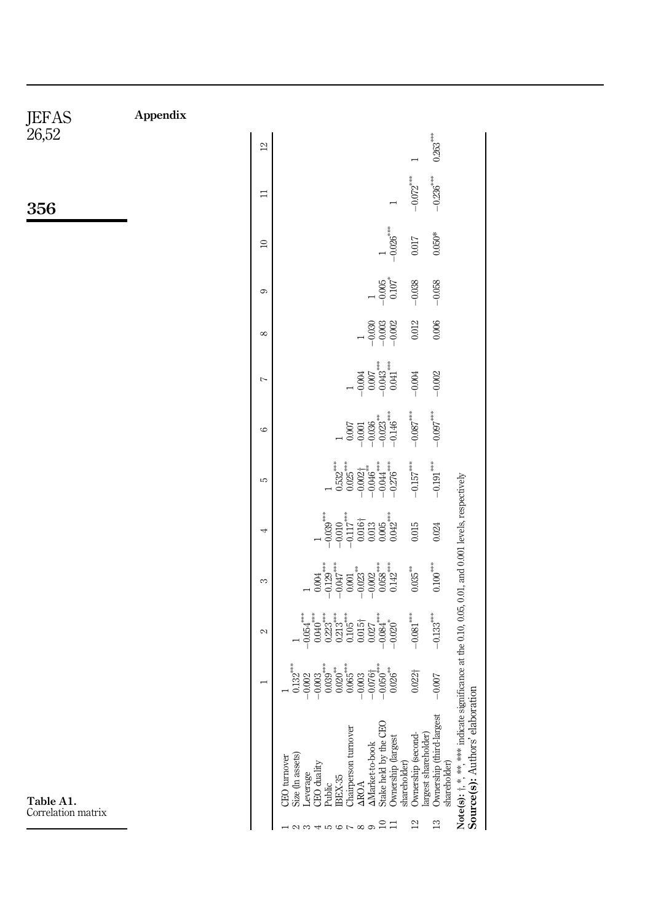|                |                    |                                                                                                                                                                                                                                                                                                                          |  |  |                                                                                                                   |  |                           | $-0.026***$                                                                                                                  | $-0.072***$                                                                                                                                                                                                                                                                                                                                                                                                                                                                     | $-0.236***$                  |                                                                                                           |                                 |
|----------------|--------------------|--------------------------------------------------------------------------------------------------------------------------------------------------------------------------------------------------------------------------------------------------------------------------------------------------------------------------|--|--|-------------------------------------------------------------------------------------------------------------------|--|---------------------------|------------------------------------------------------------------------------------------------------------------------------|---------------------------------------------------------------------------------------------------------------------------------------------------------------------------------------------------------------------------------------------------------------------------------------------------------------------------------------------------------------------------------------------------------------------------------------------------------------------------------|------------------------------|-----------------------------------------------------------------------------------------------------------|---------------------------------|
| $\approx$<br>c |                    |                                                                                                                                                                                                                                                                                                                          |  |  |                                                                                                                   |  | $^{-0.005}_{\qquad0.107}$ |                                                                                                                              | 0.017<br>$-0.038$                                                                                                                                                                                                                                                                                                                                                                                                                                                               | $0.050*$<br>$-0.058$         |                                                                                                           |                                 |
| $\infty$       |                    |                                                                                                                                                                                                                                                                                                                          |  |  |                                                                                                                   |  | $-0.030$<br>$-0.002$      |                                                                                                                              | 0.012                                                                                                                                                                                                                                                                                                                                                                                                                                                                           | 0.006                        |                                                                                                           |                                 |
| $\overline{a}$ |                    |                                                                                                                                                                                                                                                                                                                          |  |  |                                                                                                                   |  |                           | $\begin{array}{c} 1 \\ -0.004 \\ 0.007 \\ -0.043 \\ \end{array}$                                                             | $-0.004$                                                                                                                                                                                                                                                                                                                                                                                                                                                                        | $-0.002$                     |                                                                                                           |                                 |
| G              |                    |                                                                                                                                                                                                                                                                                                                          |  |  |                                                                                                                   |  |                           | $\begin{array}{c} 0.007 \\ -0.001 \\ -0.036 \\ -0.023 \\ -0.146 \\ \end{array}$                                              | $-0.087^{\ast\ast\ast}$                                                                                                                                                                                                                                                                                                                                                                                                                                                         | $-0.097***$                  |                                                                                                           |                                 |
| LC.            |                    |                                                                                                                                                                                                                                                                                                                          |  |  |                                                                                                                   |  |                           | $\begin{array}{c} 1\\ 0.532^{***}\\ 0.025^{***}\\ 0.002^{***}\\ -0.046^{***}\\ -0.044^{***}\\ -0.276^{***}\\ \end{array}$    | $-0.157^{***}$                                                                                                                                                                                                                                                                                                                                                                                                                                                                  | $-0.191$ $\rule{0pt}{1.1ex}$ |                                                                                                           |                                 |
|                |                    |                                                                                                                                                                                                                                                                                                                          |  |  | $\begin{array}{c} 1\\ -0.039^{***}\\ -0.010\\ -0.117^{***}\\ -0.016\\ 0.005\\ 0.003\\ 0.0042^{***}\\ \end{array}$ |  |                           |                                                                                                                              | 0.015                                                                                                                                                                                                                                                                                                                                                                                                                                                                           | 0.024                        |                                                                                                           |                                 |
| 3              |                    |                                                                                                                                                                                                                                                                                                                          |  |  |                                                                                                                   |  |                           | $\begin{array}{c} 1 \\ 0.004 \\ -0.129 \\ -0.001 \\ -0.001 \\ -0.002 \\ -0.002 \\ -0.003 \\ -0.004 \\ 0.0142 \\ \end{array}$ | $0.035^{***}$                                                                                                                                                                                                                                                                                                                                                                                                                                                                   | $0.100^{***}\,$              |                                                                                                           |                                 |
| 2              |                    | $\begin{array}{c} 1 \\ -0.054 \\ -0.040 \\ -0.0100 \\ -0.0101 \\ -0.0000 \\ -0.0010 \\ -0.0000 \\ -0.0000 \\ -0.0000 \\ -0.0000 \\ -0.0000 \\ -0.0000 \\ -0.0000 \\ -0.0000 \\ -0.0000 \\ -0.0000 \\ -0.0000 \\ -0.0000 \\ -0.0000 \\ -0.0000 \\ -0.0000 \\ -0.0000 \\ -0.0000 \\ -0.0000 \\ -0.0000 \\ -0.0000 \\ -0.0$ |  |  |                                                                                                                   |  |                           |                                                                                                                              | $-0.081***$                                                                                                                                                                                                                                                                                                                                                                                                                                                                     | $-0.133***$                  |                                                                                                           |                                 |
|                |                    |                                                                                                                                                                                                                                                                                                                          |  |  |                                                                                                                   |  |                           |                                                                                                                              | $0.022\dagger$                                                                                                                                                                                                                                                                                                                                                                                                                                                                  | $-0.007$                     |                                                                                                           |                                 |
|                | <b>EO</b> turnover | $\begin{tabular}{l} \hline \textbf{Sive (in assets)}\\ \textbf{Leverage} \\ \textbf{CIO duality} \\ \textbf{Public} \\ \textbf{Pubic} \\ \textbf{Ciarpeson} \\ \textbf{Ciarpeson} \\ \textbf{MPOA} \\ \hline \end{tabular}$                                                                                              |  |  |                                                                                                                   |  |                           |                                                                                                                              | $\begin{tabular}{l} \bf AMzite-tobok \\ \bf State held by the CEO \\ \bf Ourership (largest \\ \bf shareholder) \\ \bf large stable \\ \bf large stable \\ \bf large stable \\ \bf fluxes the model \\ \bf 0. \\ \bf 0. \\ \bf 0. \\ \bf 0. \\ \bf 0. \\ \bf 0. \\ \bf 0. \\ \bf 0. \\ \bf 0. \\ \bf 0. \\ \bf 0. \\ \bf 0. \\ \bf 0. \\ \bf 0. \\ \bf 0. \\ \bf 0. \\ \bf 0. \\ \bf 0. \\ \bf 0. \\ \bf 0. \\ \bf 0. \\ \bf 0. \\ \bf 0. \\ \bf 0. \\ \bf 0. \\ \bf 0. \\ \bf$ | est                          | Note(s): $\dagger$ , *, *** indicate significance at the 0.10, 0.05, 0.01, and 0.001 levels, respectively | Source(s): Authors' elaboration |

Table A1. Correlation matrix

<span id="page-23-1"></span>Appendix

<span id="page-23-0"></span>JEFAS 26,52